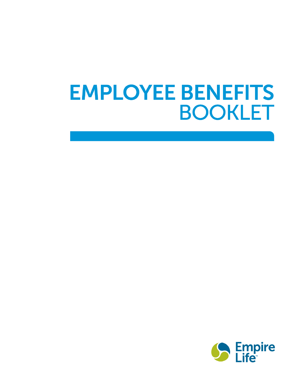# **EMPLOYEE BENEFITS BOOKLET**

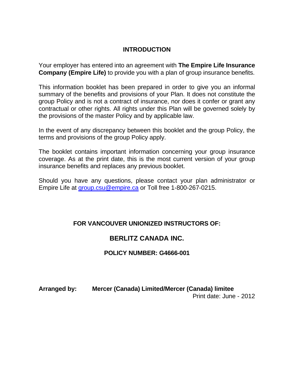## **INTRODUCTION**

Your employer has entered into an agreement with **The Empire Life Insurance Company (Empire Life)** to provide you with a plan of group insurance benefits.

This information booklet has been prepared in order to give you an informal summary of the benefits and provisions of your Plan. It does not constitute the group Policy and is not a contract of insurance, nor does it confer or grant any contractual or other rights. All rights under this Plan will be governed solely by the provisions of the master Policy and by applicable law.

In the event of any discrepancy between this booklet and the group Policy, the terms and provisions of the group Policy apply.

The booklet contains important information concerning your group insurance coverage. As at the print date, this is the most current version of your group insurance benefits and replaces any previous booklet.

Should you have any questions, please contact your plan administrator or Empire Life at group.csu@empire.ca or Toll free 1-800-267-0215.

# **FOR VANCOUVER UNIONIZED INSTRUCTORS OF:**

# **BERLITZ CANADA INC.**

## **POLICY NUMBER: G4666-001**

**Arranged by: Mercer (Canada) Limited/Mercer (Canada) limitee** Print date: June - 2012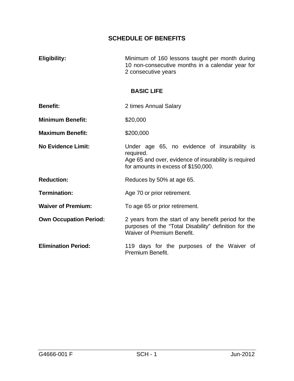**Eligibility:** Minimum of 160 lessons taught per month during 10 non-consecutive months in a calendar year for 2 consecutive years

#### **BASIC LIFE**

- **Benefit:** 2 times Annual Salary
- **Minimum Benefit:** \$20,000
- **Maximum Benefit:** \$200,000
- **No Evidence Limit:** Under age 65, no evidence of insurability is required. Age 65 and over, evidence of insurability is required for amounts in excess of \$150,000.
- **Reduction:** Reduces by 50% at age 65.
- **Termination:** Age 70 or prior retirement.
- **Waiver of Premium:** To age 65 or prior retirement.

**Own Occupation Period:** 2 years from the start of any benefit period for the purposes of the "Total Disability" definition for the Waiver of Premium Benefit.

**Elimination Period:** 119 days for the purposes of the Waiver of Premium Benefit.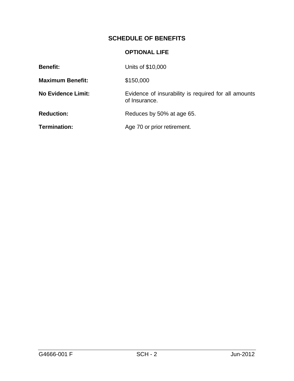## **OPTIONAL LIFE**

| <b>Benefit:</b>           | Units of \$10,000                                                     |
|---------------------------|-----------------------------------------------------------------------|
| <b>Maximum Benefit:</b>   | \$150,000                                                             |
| <b>No Evidence Limit:</b> | Evidence of insurability is required for all amounts<br>of Insurance. |
| <b>Reduction:</b>         | Reduces by 50% at age 65.                                             |
| <b>Termination:</b>       | Age 70 or prior retirement.                                           |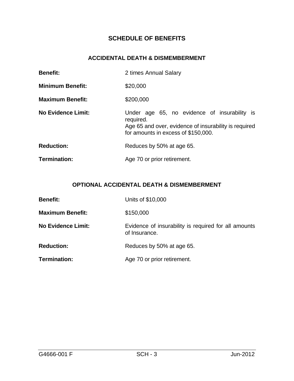## **ACCIDENTAL DEATH & DISMEMBERMENT**

| <b>Benefit:</b>           | 2 times Annual Salary                                                                                                                                     |  |  |  |
|---------------------------|-----------------------------------------------------------------------------------------------------------------------------------------------------------|--|--|--|
| <b>Minimum Benefit:</b>   | \$20,000                                                                                                                                                  |  |  |  |
| <b>Maximum Benefit:</b>   | \$200,000                                                                                                                                                 |  |  |  |
| <b>No Evidence Limit:</b> | Under age 65, no evidence of insurability is<br>required.<br>Age 65 and over, evidence of insurability is required<br>for amounts in excess of \$150,000. |  |  |  |
| <b>Reduction:</b>         | Reduces by 50% at age 65.                                                                                                                                 |  |  |  |
| Termination:              | Age 70 or prior retirement.                                                                                                                               |  |  |  |

# **OPTIONAL ACCIDENTAL DEATH & DISMEMBERMENT**

| <b>Benefit:</b>           | Units of \$10,000                                                     |
|---------------------------|-----------------------------------------------------------------------|
| <b>Maximum Benefit:</b>   | \$150,000                                                             |
| <b>No Evidence Limit:</b> | Evidence of insurability is required for all amounts<br>of Insurance. |
| <b>Reduction:</b>         | Reduces by 50% at age 65.                                             |
| Termination:              | Age 70 or prior retirement.                                           |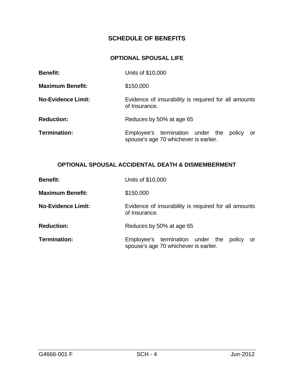## **OPTIONAL SPOUSAL LIFE**

| <b>Benefit:</b>           | Units of \$10,000                                                                          |  |  |  |  |
|---------------------------|--------------------------------------------------------------------------------------------|--|--|--|--|
| <b>Maximum Benefit:</b>   | \$150,000                                                                                  |  |  |  |  |
| <b>No-Evidence Limit:</b> | Evidence of insurability is required for all amounts<br>of Insurance.                      |  |  |  |  |
| <b>Reduction:</b>         | Reduces by 50% at age 65                                                                   |  |  |  |  |
| Termination:              | Employee's termination under the<br>policy<br>or.<br>spouse's age 70 whichever is earlier. |  |  |  |  |

## **OPTIONAL SPOUSAL ACCIDENTAL DEATH & DISMEMBERMENT**

| <b>Benefit:</b>           | Units of \$10,000                                                                         |  |  |  |
|---------------------------|-------------------------------------------------------------------------------------------|--|--|--|
| <b>Maximum Benefit:</b>   | \$150,000                                                                                 |  |  |  |
| <b>No-Evidence Limit:</b> | Evidence of insurability is required for all amounts<br>of Insurance.                     |  |  |  |
| <b>Reduction:</b>         | Reduces by 50% at age 65                                                                  |  |  |  |
| Termination:              | Employee's termination under the<br>policy<br>or<br>spouse's age 70 whichever is earlier. |  |  |  |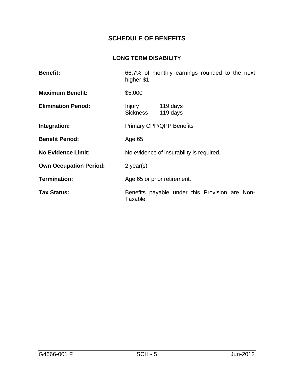## **LONG TERM DISABILITY**

| <b>Benefit:</b>               | higher \$1                                                 | 66.7% of monthly earnings rounded to the next |  |  |  |
|-------------------------------|------------------------------------------------------------|-----------------------------------------------|--|--|--|
| <b>Maximum Benefit:</b>       | \$5,000                                                    |                                               |  |  |  |
| <b>Elimination Period:</b>    | Injury 119 days<br>Sickness                                | 119 days                                      |  |  |  |
| Integration:                  | <b>Primary CPP/QPP Benefits</b>                            |                                               |  |  |  |
| <b>Benefit Period:</b>        | Age 65                                                     |                                               |  |  |  |
| <b>No Evidence Limit:</b>     | No evidence of insurability is required.                   |                                               |  |  |  |
| <b>Own Occupation Period:</b> | $2$ year(s)                                                |                                               |  |  |  |
| <b>Termination:</b>           | Age 65 or prior retirement.                                |                                               |  |  |  |
| <b>Tax Status:</b>            | Benefits payable under this Provision are Non-<br>Taxable. |                                               |  |  |  |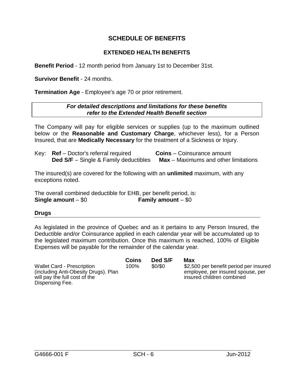## **EXTENDED HEALTH BENEFITS**

**Benefit Period** - 12 month period from January 1st to December 31st.

**Survivor Benefit** - 24 months.

**Termination Age** - Employee's age 70 or prior retirement.

#### *For detailed descriptions and limitations for these benefits refer to the Extended Health Benefit section*

The Company will pay for eligible services or supplies (up to the maximum outlined below or the **Reasonable and Customary Charge**, whichever less), for a Person Insured, that are **Medically Necessary** for the treatment of a Sickness or Injury.

| Key: $Ref - Doctor's referral required$      | <b>Coins</b> – Coinsurance amount           |
|----------------------------------------------|---------------------------------------------|
| <b>Ded S/F</b> – Single & Family deductibles | <b>Max</b> – Maximums and other limitations |

The insured(s) are covered for the following with an **unlimited** maximum, with any exceptions noted.

The overall combined deductible for EHB, per benefit period, is: **Single amount** – \$0 **Family amount** – \$0

#### **Drugs**

As legislated in the province of Quebec and as it pertains to any Person Insured, the Deductible and/or Coinsurance applied in each calendar year will be accumulated up to the legislated maximum contribution. Once this maximum is reached, 100% of Eligible Expenses will be payable for the remainder of the calendar year.

|                                      | Coins | Ded S/F | Max                                    |
|--------------------------------------|-------|---------|----------------------------------------|
| <b>Wallet Card - Prescription</b>    | 100%  | \$0/\$0 | \$2,500 per benefit period per insured |
| (including Anti-Obesity Drugs). Plan |       |         | employee, per insured spouse, per      |
| will pay the full cost of the        |       |         | insured children combined              |
| Dispensing Fee.                      |       |         |                                        |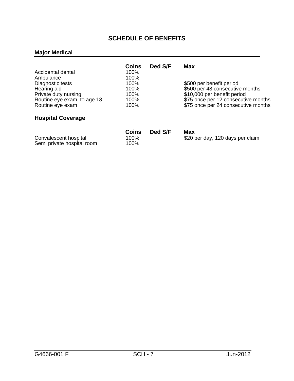## **Major Medical**

| Accidental dental<br>Ambulance<br>Diagnostic tests<br>Hearing aid<br>Private duty nursing<br>Routine eye exam, to age 18<br>Routine eye exam | Coins<br>100%<br>100%<br>100%<br>100%<br>100%<br>100%<br>100% | Ded S/F | Max<br>\$500 per benefit period<br>\$500 per 48 consecutive months<br>\$10,000 per benefit period<br>\$75 once per 12 consecutive months<br>\$75 once per 24 consecutive months |
|----------------------------------------------------------------------------------------------------------------------------------------------|---------------------------------------------------------------|---------|---------------------------------------------------------------------------------------------------------------------------------------------------------------------------------|
| <b>Hospital Coverage</b>                                                                                                                     |                                                               |         |                                                                                                                                                                                 |
| Convalescent hospital<br>Semi private hospital room                                                                                          | Coins<br>100%<br>100%                                         | Ded S/F | Max<br>\$20 per day, 120 days per claim                                                                                                                                         |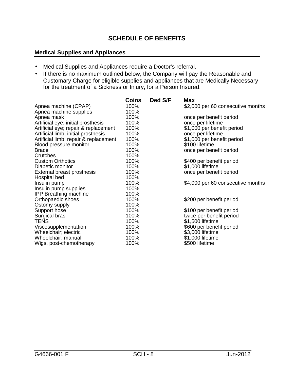#### **Medical Supplies and Appliances**

- Medical Supplies and Appliances require a Doctor's referral.
- If there is no maximum outlined below, the Company will pay the Reasonable and Customary Charge for eligible supplies and appliances that are Medically Necessary for the treatment of a Sickness or Injury, for a Person Insured.

| Coins | Ded S/F                                                                                                              | <b>Max</b>                        |
|-------|----------------------------------------------------------------------------------------------------------------------|-----------------------------------|
| 100%  |                                                                                                                      | \$2,000 per 60 consecutive months |
| 100%  |                                                                                                                      |                                   |
| 100%  |                                                                                                                      | once per benefit period           |
| 100%  |                                                                                                                      | once per lifetime                 |
| 100%  |                                                                                                                      | \$1,000 per benefit period        |
|       |                                                                                                                      | once per lifetime                 |
| 100%  |                                                                                                                      | \$1,000 per benefit period        |
| 100%  |                                                                                                                      | \$100 lifetime                    |
| 100%  |                                                                                                                      | once per benefit period           |
|       |                                                                                                                      |                                   |
| 100%  |                                                                                                                      | \$400 per benefit period          |
|       |                                                                                                                      | \$1,000 lifetime                  |
| 100%  |                                                                                                                      | once per benefit period           |
|       |                                                                                                                      |                                   |
| 100%  |                                                                                                                      | \$4,000 per 60 consecutive months |
|       |                                                                                                                      |                                   |
|       |                                                                                                                      |                                   |
|       |                                                                                                                      | \$200 per benefit period          |
|       |                                                                                                                      |                                   |
|       |                                                                                                                      | \$100 per benefit period          |
|       |                                                                                                                      | twice per benefit period          |
|       |                                                                                                                      | \$1,500 lifetime                  |
|       |                                                                                                                      | \$600 per benefit period          |
|       |                                                                                                                      | \$3,000 lifetime                  |
|       |                                                                                                                      | \$1,000 lifetime                  |
|       |                                                                                                                      | \$500 lifetime                    |
|       | 100%<br>100%<br>100%<br>100%<br>100%<br>100%<br>100%<br>100%<br>100%<br>100%<br>100%<br>100%<br>100%<br>100%<br>100% |                                   |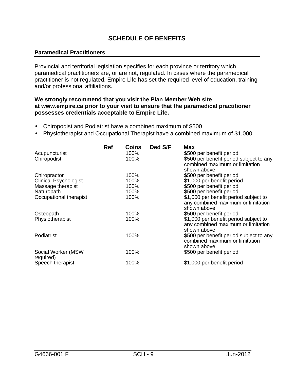#### **Paramedical Practitioners**

Provincial and territorial legislation specifies for each province or territory which paramedical practitioners are, or are not, regulated. In cases where the paramedical practitioner is not regulated, Empire Life has set the required level of education, training and/or professional affiliations.

#### **We strongly recommend that you visit the Plan Member Web site at www.empire.ca prior to your visit to ensure that the paramedical practitioner possesses credentials acceptable to Empire Life.**

- Chiropodist and Podiatrist have a combined maximum of \$500
- Physiotherapist and Occupational Therapist have a combined maximum of \$1,000

|                              | <b>Ref</b> | <b>Coins</b> | Ded S/F | <b>Max</b>                              |
|------------------------------|------------|--------------|---------|-----------------------------------------|
| Acupuncturist                |            | 100%         |         | \$500 per benefit period                |
| Chiropodist                  |            | 100%         |         | \$500 per benefit period subject to any |
|                              |            |              |         | combined maximum or limitation          |
|                              |            |              |         | shown above                             |
| Chiropractor                 |            | 100%         |         | \$500 per benefit period                |
| <b>Clinical Psychologist</b> |            | 100%         |         | \$1,000 per benefit period              |
| Massage therapist            |            | 100%         |         | \$500 per benefit period                |
| Naturopath                   |            | 100%         |         | \$500 per benefit period                |
| Occupational therapist       |            | 100%         |         | \$1,000 per benefit period subject to   |
|                              |            |              |         | any combined maximum or limitation      |
|                              |            |              |         |                                         |
|                              |            |              |         | shown above                             |
| Osteopath                    |            | 100%         |         | \$500 per benefit period                |
| Physiotherapist              |            | 100%         |         | \$1,000 per benefit period subject to   |
|                              |            |              |         | any combined maximum or limitation      |
|                              |            |              |         | shown above                             |
| Podiatrist                   |            | 100%         |         | \$500 per benefit period subject to any |
|                              |            |              |         | combined maximum or limitation          |
|                              |            |              |         | shown above                             |
| Social Worker (MSW           |            | 100%         |         | \$500 per benefit period                |
| required)                    |            |              |         |                                         |
| Speech therapist             |            | 100%         |         | \$1,000 per benefit period              |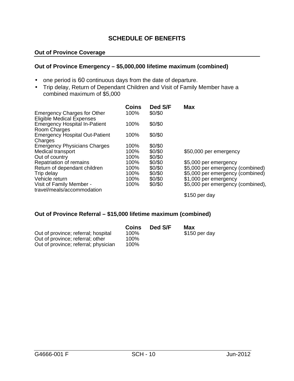#### **Out of Province Coverage**

#### **Out of Province Emergency – \$5,000,000 lifetime maximum (combined)**

- one period is 60 continuous days from the date of departure.
- Trip delay, Return of Dependant Children and Visit of Family Member have a combined maximum of \$5,000

|                                       | Coins | Ded S/F | <b>Max</b>                        |
|---------------------------------------|-------|---------|-----------------------------------|
| <b>Emergency Charges for Other</b>    | 100%  | \$0/\$0 |                                   |
| <b>Eligible Medical Expenses</b>      |       |         |                                   |
| <b>Emergency Hospital In-Patient</b>  | 100%  | \$0/\$0 |                                   |
| Room Charges                          |       |         |                                   |
| <b>Emergency Hospital Out-Patient</b> | 100%  | \$0/\$0 |                                   |
| Charges                               |       |         |                                   |
| <b>Emergency Physicians Charges</b>   | 100%  | \$0/\$0 |                                   |
| <b>Medical transport</b>              | 100%  | \$0/\$0 | \$50,000 per emergency            |
| Out of country                        | 100%  | \$0/\$0 |                                   |
| Repatriation of remains               | 100%  | \$0/\$0 | \$5,000 per emergency             |
| Return of dependant children          | 100%  | \$0/\$0 | \$5,000 per emergency (combined)  |
| Trip delay                            | 100%  | \$0/\$0 | \$5,000 per emergency (combined)  |
| Vehicle return                        | 100%  | \$0/\$0 | \$1,000 per emergency             |
| Visit of Family Member -              | 100%  | \$0/\$0 | \$5,000 per emergency (combined), |
| travel/meals/accommodation            |       |         |                                   |
|                                       |       |         | \$150 per day                     |

#### **Out of Province Referral – \$15,000 lifetime maximum (combined)**

|                                      | Coins | Ded S/F | Max           |
|--------------------------------------|-------|---------|---------------|
| Out of province; referral; hospital  | 100%  |         | \$150 per day |
| Out of province; referral; other     | 100%  |         |               |
| Out of province; referral; physician | 100%  |         |               |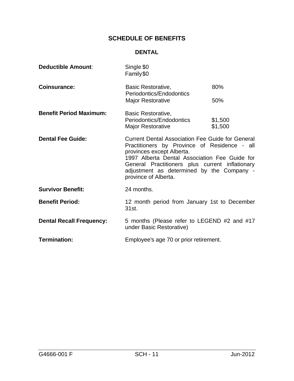## **DENTAL**

| <b>Deductible Amount:</b>       | Single \$0<br>Family\$0                                                                                                                                                                                                                                                                                       |                    |  |
|---------------------------------|---------------------------------------------------------------------------------------------------------------------------------------------------------------------------------------------------------------------------------------------------------------------------------------------------------------|--------------------|--|
| <b>Coinsurance:</b>             | Basic Restorative,<br>Periodontics/Endodontics                                                                                                                                                                                                                                                                | 80%                |  |
|                                 | <b>Major Restorative</b>                                                                                                                                                                                                                                                                                      | 50%                |  |
| <b>Benefit Period Maximum:</b>  | Basic Restorative,<br>Periodontics/Endodontics<br><b>Major Restorative</b>                                                                                                                                                                                                                                    | \$1,500<br>\$1,500 |  |
| <b>Dental Fee Guide:</b>        | <b>Current Dental Association Fee Guide for General</b><br>Practitioners by Province of Residence - all<br>provinces except Alberta.<br>1997 Alberta Dental Association Fee Guide for<br>General Practitioners plus current inflationary<br>adjustment as determined by the Company -<br>province of Alberta. |                    |  |
| <b>Survivor Benefit:</b>        | 24 months.                                                                                                                                                                                                                                                                                                    |                    |  |
| <b>Benefit Period:</b>          | 12 month period from January 1st to December<br>31st.                                                                                                                                                                                                                                                         |                    |  |
| <b>Dental Recall Frequency:</b> | 5 months (Please refer to LEGEND #2 and #17<br>under Basic Restorative)                                                                                                                                                                                                                                       |                    |  |
| <b>Termination:</b>             | Employee's age 70 or prior retirement.                                                                                                                                                                                                                                                                        |                    |  |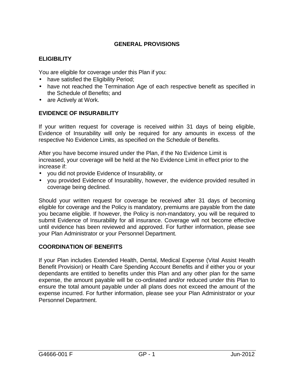## **GENERAL PROVISIONS**

## **ELIGIBILITY**

You are eligible for coverage under this Plan if you:

- have satisfied the Eligibility Period;
- have not reached the Termination Age of each respective benefit as specified in the Schedule of Benefits; and
- are Actively at Work.

## **EVIDENCE OF INSURABILITY**

If your written request for coverage is received within 31 days of being eligible, Evidence of Insurability will only be required for any amounts in excess of the respective No Evidence Limits, as specified on the Schedule of Benefits.

After you have become insured under the Plan, if the No Evidence Limit is increased, your coverage will be held at the No Evidence Limit in effect prior to the increase if:

- you did not provide Evidence of Insurability, or
- you provided Evidence of Insurability, however, the evidence provided resulted in coverage being declined.

Should your written request for coverage be received after 31 days of becoming eligible for coverage and the Policy is mandatory, premiums are payable from the date you became eligible. If however, the Policy is non-mandatory, you will be required to submit Evidence of Insurability for all insurance. Coverage will not become effective until evidence has been reviewed and approved. For further information, please see your Plan Administrator or your Personnel Department.

## **COORDINATION OF BENEFITS**

If your Plan includes Extended Health, Dental, Medical Expense (Vital Assist Health Benefit Provision) or Health Care Spending Account Benefits and if either you or your dependants are entitled to benefits under this Plan and any other plan for the same expense, the amount payable will be co-ordinated and/or reduced under this Plan to ensure the total amount payable under all plans does not exceed the amount of the expense incurred. For further information, please see your Plan Administrator or your Personnel Department.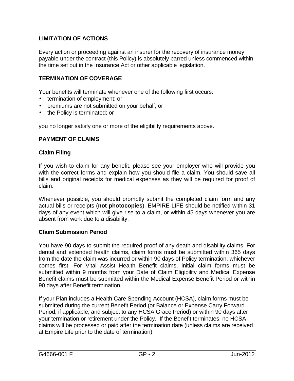## **LIMITATION OF ACTIONS**

Every action or proceeding against an insurer for the recovery of insurance money payable under the contract (this Policy) is absolutely barred unless commenced within the time set out in the Insurance Act or other applicable legislation.

## **TERMINATION OF COVERAGE**

Your benefits will terminate whenever one of the following first occurs:

- termination of employment; or
- premiums are not submitted on your behalf; or
- the Policy is terminated; or

you no longer satisfy one or more of the eligibility requirements above.

#### **PAYMENT OF CLAIMS**

#### **Claim Filing**

If you wish to claim for any benefit, please see your employer who will provide you with the correct forms and explain how you should file a claim. You should save all bills and original receipts for medical expenses as they will be required for proof of claim.

Whenever possible, you should promptly submit the completed claim form and any actual bills or receipts (**not photocopies**). EMPIRE LIFE should be notified within 31 days of any event which will give rise to a claim, or within 45 days whenever you are absent from work due to a disability.

#### **Claim Submission Period**

You have 90 days to submit the required proof of any death and disability claims. For dental and extended health claims, claim forms must be submitted within 365 days from the date the claim was incurred or within 90 days of Policy termination, whichever comes first. For Vital Assist Health Benefit claims, initial claim forms must be submitted within 9 months from your Date of Claim Eligibility and Medical Expense Benefit claims must be submitted within the Medical Expense Benefit Period or within 90 days after Benefit termination.

If your Plan includes a Health Care Spending Account (HCSA), claim forms must be submitted during the current Benefit Period (or Balance or Expense Carry Forward Period, if applicable, and subject to any HCSA Grace Period) or within 90 days after your termination or retirement under the Policy. If the Benefit terminates, no HCSA claims will be processed or paid after the termination date (unless claims are received at Empire Life prior to the date of termination).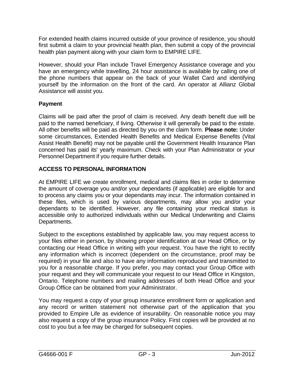For extended health claims incurred outside of your province of residence, you should first submit a claim to your provincial health plan, then submit a copy of the provincial health plan payment along with your claim form to EMPIRE LIFE.

However, should your Plan include Travel Emergency Assistance coverage and you have an emergency while travelling, 24 hour assistance is available by calling one of the phone numbers that appear on the back of your Wallet Card and identifying yourself by the information on the front of the card. An operator at Allianz Global Assistance will assist you.

## **Payment**

Claims will be paid after the proof of claim is received. Any death benefit due will be paid to the named beneficiary, if living. Otherwise it will generally be paid to the estate. All other benefits will be paid as directed by you on the claim form. **Please note:** Under some circumstances, Extended Health Benefits and Medical Expense Benefits (Vital Assist Health Benefit) may not be payable until the Government Health Insurance Plan concerned has paid its' yearly maximum. Check with your Plan Administrator or your Personnel Department if you require further details.

## **ACCESS TO PERSONAL INFORMATION**

At EMPIRE LIFE we create enrollment, medical and claims files in order to determine the amount of coverage you and/or your dependants (if applicable) are eligible for and to process any claims you or your dependants may incur. The information contained in these files, which is used by various departments, may allow you and/or your dependants to be identified. However, any file containing your medical status is accessible only to authorized individuals within our Medical Underwriting and Claims Departments.

Subject to the exceptions established by applicable law, you may request access to your files either in person, by showing proper identification at our Head Office, or by contacting our Head Office in writing with your request. You have the right to rectify any information which is incorrect (dependent on the circumstance, proof may be required) in your file and also to have any information reproduced and transmitted to you for a reasonable charge. If you prefer, you may contact your Group Office with your request and they will communicate your request to our Head Office in Kingston, Ontario. Telephone numbers and mailing addresses of both Head Office and your Group Office can be obtained from your Administrator.

You may request a copy of your group insurance enrollment form or application and any record or written statement not otherwise part of the application that you provided to Empire Life as evidence of insurability. On reasonable notice you may also request a copy of the group insurance Policy. First copies will be provided at no cost to you but a fee may be charged for subsequent copies.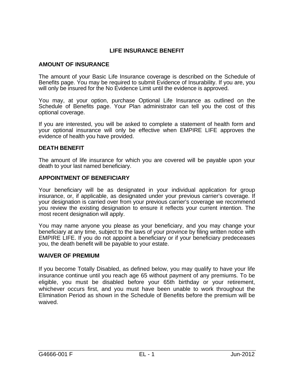## **LIFE INSURANCE BENEFIT**

## **AMOUNT OF INSURANCE**

The amount of your Basic Life Insurance coverage is described on the Schedule of Benefits page. You may be required to submit Evidence of Insurability. If you are, you will only be insured for the No Evidence Limit until the evidence is approved.

You may, at your option, purchase Optional Life Insurance as outlined on the Schedule of Benefits page. Your Plan administrator can tell you the cost of this optional coverage.

If you are interested, you will be asked to complete a statement of health form and your optional insurance will only be effective when EMPIRE LIFE approves the evidence of health you have provided.

#### **DEATH BENEFIT**

The amount of life insurance for which you are covered will be payable upon your death to your last named beneficiary.

#### **APPOINTMENT OF BENEFICIARY**

Your beneficiary will be as designated in your individual application for group insurance, or, if applicable, as designated under your previous carrier's coverage. If your designation is carried over from your previous carrier's coverage we recommend you review the existing designation to ensure it reflects your current intention. The most recent designation will apply.

You may name anyone you please as your beneficiary, and you may change your beneficiary at any time, subject to the laws of your province by filing written notice with EMPIRE LIFE. If you do not appoint a beneficiary or if your beneficiary predeceases you, the death benefit will be payable to your estate.

#### **WAIVER OF PREMIUM**

If you become Totally Disabled, as defined below, you may qualify to have your life insurance continue until you reach age 65 without payment of any premiums. To be eligible, you must be disabled before your 65th birthday or your retirement, whichever occurs first, and you must have been unable to work throughout the Elimination Period as shown in the Schedule of Benefits before the premium will be waived.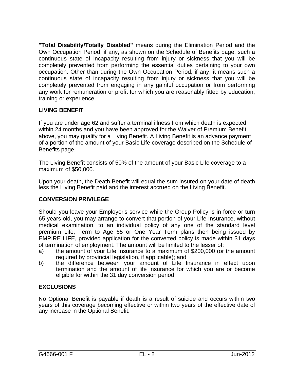**"Total Disability/Totally Disabled"** means during the Elimination Period and the Own Occupation Period, if any, as shown on the Schedule of Benefits page, such a continuous state of incapacity resulting from injury or sickness that you will be completely prevented from performing the essential duties pertaining to your own occupation. Other than during the Own Occupation Period, if any, it means such a continuous state of incapacity resulting from injury or sickness that you will be completely prevented from engaging in any gainful occupation or from performing any work for remuneration or profit for which you are reasonably fitted by education, training or experience.

## **LIVING BENEFIT**

If you are under age 62 and suffer a terminal illness from which death is expected within 24 months and you have been approved for the Waiver of Premium Benefit above, you may qualify for a Living Benefit. A Living Benefit is an advance payment of a portion of the amount of your Basic Life coverage described on the Schedule of Benefits page.

The Living Benefit consists of 50% of the amount of your Basic Life coverage to a maximum of \$50,000.

Upon your death, the Death Benefit will equal the sum insured on your date of death less the Living Benefit paid and the interest accrued on the Living Benefit.

## **CONVERSION PRIVILEGE**

Should you leave your Employer's service while the Group Policy is in force or turn 65 years old, you may arrange to convert that portion of your Life Insurance, without medical examination, to an individual policy of any one of the standard level premium Life, Term to Age 65 or One Year Term plans then being issued by EMPIRE LIFE, provided application for the converted policy is made within 31 days of termination of employment. The amount will be limited to the lesser of:

- a) the amount of your Life Insurance to a maximum of \$200,000 (or the amount required by provincial legislation, if applicable); and
- b) the difference between your amount of Life Insurance in effect upon termination and the amount of life insurance for which you are or become eligible for within the 31 day conversion period.

## **EXCLUSIONS**

No Optional Benefit is payable if death is a result of suicide and occurs within two years of this coverage becoming effective or within two years of the effective date of any increase in the Optional Benefit.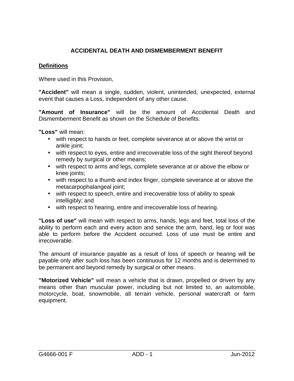## **ACCIDENTAL DEATH AND DISMEMBERMENT BENEFIT**

#### **Definitions**

Where used in this Provision,

**"Accident"** will mean a single, sudden, violent, unintended, unexpected, external event that causes a Loss, independent of any other cause.

**"Amount of Insurance"** will be the amount of Accidental Death and Dismemberment Benefit as shown on the Schedule of Benefits.

**"Loss"** will mean:

- with respect to hands or feet, complete severance at or above the wrist or ankle joint;
- with respect to eyes, entire and irrecoverable loss of the sight thereof beyond remedy by surgical or other means;
- with respect to arms and legs, complete severance at or above the elbow or knee joints;
- with respect to a thumb and index finger, complete severance at or above the metacarpophalangeal joint;
- with respect to speech, entire and irrecoverable loss of ability to speak intelligibly; and
- with respect to hearing, entire and irrecoverable loss of hearing.

**"Loss of use"** will mean with respect to arms, hands, legs and feet, total loss of the ability to perform each and every action and service the arm, hand, leg or foot was able to perform before the Accident occurred. Loss of use must be entire and irrecoverable.

The amount of insurance payable as a result of loss of speech or hearing will be payable only after such loss has been continuous for 12 months and is determined to be permanent and beyond remedy by surgical or other means.

**"Motorized Vehicle"** will mean a vehicle that is drawn, propelled or driven by any means other than muscular power, including but not limited to, an automobile, motorcycle, boat, snowmobile, all terrain vehicle, personal watercraft or farm equipment.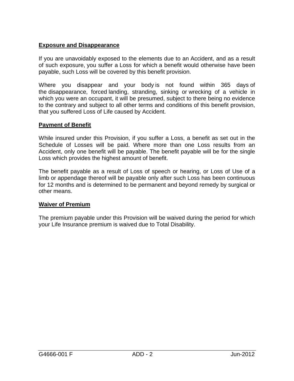## **Exposure and Disappearance**

If you are unavoidably exposed to the elements due to an Accident, and as a result of such exposure, you suffer a Loss for which a benefit would otherwise have been payable, such Loss will be covered by this benefit provision.

Where you disappear and your body is not found within 365 days of the disappearance, forced landing, stranding, sinking or wrecking of a vehicle in which you were an occupant, it will be presumed, subject to there being no evidence to the contrary and subject to all other terms and conditions of this benefit provision, that you suffered Loss of Life caused by Accident.

## **Payment of Benefit**

While insured under this Provision, if you suffer a Loss, a benefit as set out in the Schedule of Losses will be paid. Where more than one Loss results from an Accident, only one benefit will be payable. The benefit payable will be for the single Loss which provides the highest amount of benefit.

The benefit payable as a result of Loss of speech or hearing, or Loss of Use of a limb or appendage thereof will be payable only after such Loss has been continuous for 12 months and is determined to be permanent and beyond remedy by surgical or other means.

## **Waiver of Premium**

The premium payable under this Provision will be waived during the period for which your Life Insurance premium is waived due to Total Disability.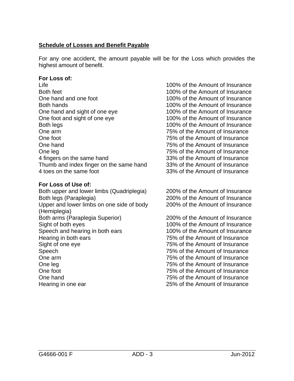## **Schedule of Losses and Benefit Payable**

For any one accident, the amount payable will be for the Loss which provides the highest amount of benefit.

#### **For Loss of:**

Life 100% of the Amount of Insurance Both feet 100% of the Amount of Insurance One hand and one foot 100% of the Amount of Insurance Both hands 100% of the Amount of Insurance One hand and sight of one eye 100% of the Amount of Insurance One foot and sight of one eye 100% of the Amount of Insurance Both legs 100% of the Amount of Insurance One arm 75% of the Amount of Insurance One foot 75% of the Amount of Insurance One hand 75% of the Amount of Insurance One leg 2012 Cone leg 25% of the Amount of Insurance 4 fingers on the same hand 33% of the Amount of Insurance Thumb and index finger on the same hand 33% of the Amount of Insurance 4 toes on the same foot 33% of the Amount of Insurance

## **For Loss of Use of:**

Both upper and lower limbs (Quadriplegia) 200% of the Amount of Insurance Both legs (Paraplegia) 200% of the Amount of Insurance Upper and lower limbs on one side of body (Hemiplegia) Both arms (Paraplegia Superior) 200% of the Amount of Insurance Sight of both eyes 100% of the Amount of Insurance Speech and hearing in both ears 100% of the Amount of Insurance Hearing in both ears 75% of the Amount of Insurance Sight of one eye 75% of the Amount of Insurance Speech 75% of the Amount of Insurance One arm 75% of the Amount of Insurance One leg 25% of the Amount of Insurance One foot 75% of the Amount of Insurance One hand 75% of the Amount of Insurance Hearing in one ear 25% of the Amount of Insurance

200% of the Amount of Insurance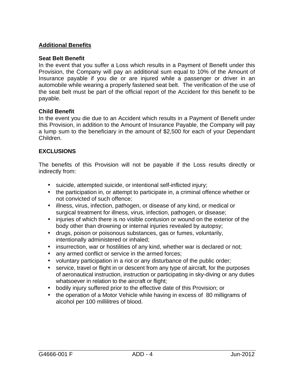## **Additional Benefits**

#### **Seat Belt Benefit**

In the event that you suffer a Loss which results in a Payment of Benefit under this Provision, the Company will pay an additional sum equal to 10% of the Amount of Insurance payable if you die or are injured while a passenger or driver in an automobile while wearing a properly fastened seat belt. The verification of the use of the seat belt must be part of the official report of the Accident for this benefit to be payable.

#### **Child Benefit**

In the event you die due to an Accident which results in a Payment of Benefit under this Provision, in addition to the Amount of Insurance Payable, the Company will pay a lump sum to the beneficiary in the amount of \$2,500 for each of your Dependant Children.

#### **EXCLUSIONS**

The benefits of this Provision will not be payable if the Loss results directly or indirectly from:

- suicide, attempted suicide, or intentional self-inflicted injury;
- the participation in, or attempt to participate in, a criminal offence whether or not convicted of such offence;
- illness, virus, infection, pathogen, or disease of any kind, or medical or surgical treatment for illness, virus, infection, pathogen, or disease;
- injuries of which there is no visible contusion or wound on the exterior of the body other than drowning or internal injuries revealed by autopsy;
- drugs, poison or poisonous substances, gas or fumes, voluntarily, intentionally administered or inhaled;
- insurrection, war or hostilities of any kind, whether war is declared or not;
- any armed conflict or service in the armed forces;
- voluntary participation in a riot or any disturbance of the public order;
- service, travel or flight in or descent from any type of aircraft, for the purposes of aeronautical instruction, instruction or participating in sky-diving or any duties whatsoever in relation to the aircraft or flight;
- bodily injury suffered prior to the effective date of this Provision; or
- the operation of a Motor Vehicle while having in excess of 80 milligrams of alcohol per 100 millilitres of blood.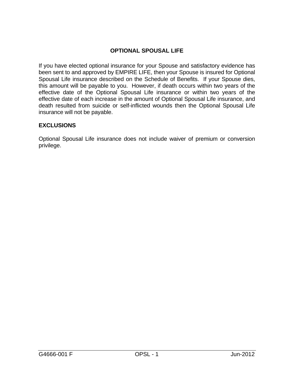## **OPTIONAL SPOUSAL LIFE**

If you have elected optional insurance for your Spouse and satisfactory evidence has been sent to and approved by EMPIRE LIFE, then your Spouse is insured for Optional Spousal Life insurance described on the Schedule of Benefits. If your Spouse dies, this amount will be payable to you. However, if death occurs within two years of the effective date of the Optional Spousal Life insurance or within two years of the effective date of each increase in the amount of Optional Spousal Life insurance, and death resulted from suicide or self-inflicted wounds then the Optional Spousal Life insurance will not be payable.

## **EXCLUSIONS**

Optional Spousal Life insurance does not include waiver of premium or conversion privilege.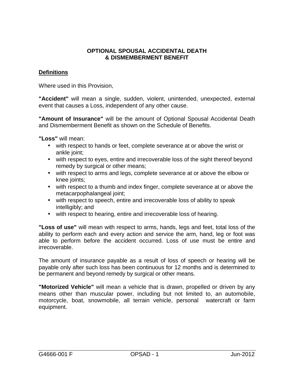#### **OPTIONAL SPOUSAL ACCIDENTAL DEATH & DISMEMBERMENT BENEFIT**

## **Definitions**

Where used in this Provision,

**"Accident"** will mean a single, sudden, violent, unintended, unexpected, external event that causes a Loss, independent of any other cause.

**"Amount of Insurance"** will be the amount of Optional Spousal Accidental Death and Dismemberment Benefit as shown on the Schedule of Benefits.

**"Loss"** will mean:

- with respect to hands or feet, complete severance at or above the wrist or ankle joint:
- with respect to eyes, entire and irrecoverable loss of the sight thereof beyond remedy by surgical or other means;
- with respect to arms and legs, complete severance at or above the elbow or knee joints;
- with respect to a thumb and index finger, complete severance at or above the metacarpophalangeal joint;
- with respect to speech, entire and irrecoverable loss of ability to speak intelligibly; and
- with respect to hearing, entire and irrecoverable loss of hearing.

**"Loss of use"** will mean with respect to arms, hands, legs and feet, total loss of the ability to perform each and every action and service the arm, hand, leg or foot was able to perform before the accident occurred. Loss of use must be entire and irrecoverable.

The amount of insurance payable as a result of loss of speech or hearing will be payable only after such loss has been continuous for 12 months and is determined to be permanent and beyond remedy by surgical or other means.

**"Motorized Vehicle"** will mean a vehicle that is drawn, propelled or driven by any means other than muscular power, including but not limited to, an automobile, motorcycle, boat, snowmobile, all terrain vehicle, personal watercraft or farm equipment.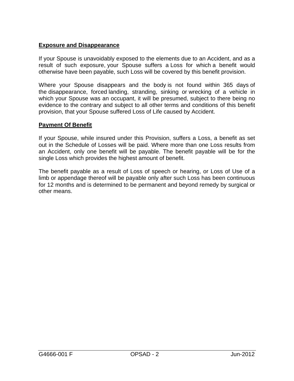## **Exposure and Disappearance**

If your Spouse is unavoidably exposed to the elements due to an Accident, and as a result of such exposure, your Spouse suffers a Loss for which a benefit would otherwise have been payable, such Loss will be covered by this benefit provision.

Where your Spouse disappears and the body is not found within 365 days of the disappearance, forced landing, stranding, sinking or wrecking of a vehicle in which your Spouse was an occupant, it will be presumed, subject to there being no evidence to the contrary and subject to all other terms and conditions of this benefit provision, that your Spouse suffered Loss of Life caused by Accident.

## **Payment Of Benefit**

If your Spouse, while insured under this Provision, suffers a Loss, a benefit as set out in the Schedule of Losses will be paid. Where more than one Loss results from an Accident, only one benefit will be payable. The benefit payable will be for the single Loss which provides the highest amount of benefit.

The benefit payable as a result of Loss of speech or hearing, or Loss of Use of a limb or appendage thereof will be payable only after such Loss has been continuous for 12 months and is determined to be permanent and beyond remedy by surgical or other means.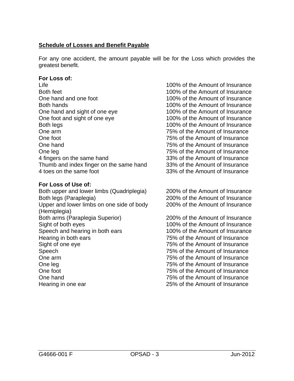## **Schedule of Losses and Benefit Payable**

For any one accident, the amount payable will be for the Loss which provides the greatest benefit.

#### **For Loss of:**

Life 100% of the Amount of Insurance Both feet 100% of the Amount of Insurance One hand and one foot 100% of the Amount of Insurance Both hands 100% of the Amount of Insurance One hand and sight of one eye 100% of the Amount of Insurance One foot and sight of one eye 100% of the Amount of Insurance Both legs 100% of the Amount of Insurance One arm 75% of the Amount of Insurance One foot 75% of the Amount of Insurance One hand 75% of the Amount of Insurance One leg 2012 Cone leg 25% of the Amount of Insurance 4 fingers on the same hand 33% of the Amount of Insurance Thumb and index finger on the same hand 33% of the Amount of Insurance 4 toes on the same foot 33% of the Amount of Insurance

#### **For Loss of Use of:**

Both upper and lower limbs (Quadriplegia) 200% of the Amount of Insurance Both legs (Paraplegia) 200% of the Amount of Insurance Upper and lower limbs on one side of body (Hemiplegia) Both arms (Paraplegia Superior) 200% of the Amount of Insurance Sight of both eyes 100% of the Amount of Insurance Speech and hearing in both ears 100% of the Amount of Insurance Hearing in both ears 75% of the Amount of Insurance Sight of one eye 75% of the Amount of Insurance Speech 75% of the Amount of Insurance One arm 75% of the Amount of Insurance One leg 75% of the Amount of Insurance One foot 75% of the Amount of Insurance One hand 75% of the Amount of Insurance Hearing in one ear 25% of the Amount of Insurance

200% of the Amount of Insurance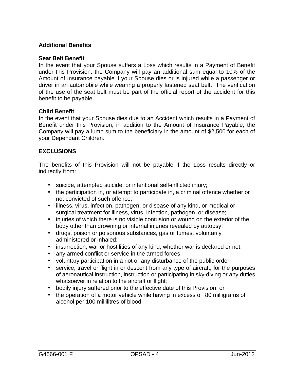#### **Additional Benefits**

#### **Seat Belt Benefit**

In the event that your Spouse suffers a Loss which results in a Payment of Benefit under this Provision, the Company will pay an additional sum equal to 10% of the Amount of Insurance payable if your Spouse dies or is injured while a passenger or driver in an automobile while wearing a properly fastened seat belt. The verification of the use of the seat belt must be part of the official report of the accident for this benefit to be payable.

#### **Child Benefit**

In the event that your Spouse dies due to an Accident which results in a Payment of Benefit under this Provision, in addition to the Amount of Insurance Payable, the Company will pay a lump sum to the beneficiary in the amount of \$2,500 for each of your Dependant Children.

#### **EXCLUSIONS**

The benefits of this Provision will not be payable if the Loss results directly or indirectly from:

- suicide, attempted suicide, or intentional self-inflicted injury;
- the participation in, or attempt to participate in, a criminal offence whether or not convicted of such offence;
- illness, virus, infection, pathogen, or disease of any kind, or medical or surgical treatment for illness, virus, infection, pathogen, or disease;
- injuries of which there is no visible contusion or wound on the exterior of the body other than drowning or internal injuries revealed by autopsy;
- drugs, poison or poisonous substances, gas or fumes, voluntarily administered or inhaled;
- insurrection, war or hostilities of any kind, whether war is declared or not;
- any armed conflict or service in the armed forces;
- voluntary participation in a riot or any disturbance of the public order;
- service, travel or flight in or descent from any type of aircraft, for the purposes of aeronautical instruction, instruction or participating in sky-diving or any duties whatsoever in relation to the aircraft or flight;
- bodily injury suffered prior to the effective date of this Provision; or
- the operation of a motor vehicle while having in excess of 80 milligrams of alcohol per 100 millilitres of blood.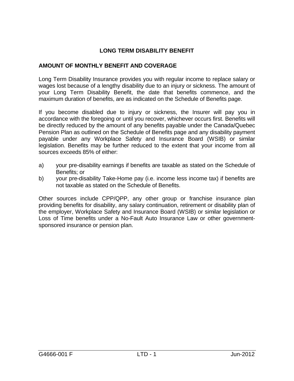## **LONG TERM DISABILITY BENEFIT**

## **AMOUNT OF MONTHLY BENEFIT AND COVERAGE**

Long Term Disability Insurance provides you with regular income to replace salary or wages lost because of a lengthy disability due to an injury or sickness. The amount of your Long Term Disability Benefit, the date that benefits commence, and the maximum duration of benefits, are as indicated on the Schedule of Benefits page.

If you become disabled due to injury or sickness, the Insurer will pay you in accordance with the foregoing or until you recover, whichever occurs first. Benefits will be directly reduced by the amount of any benefits payable under the Canada/Quebec Pension Plan as outlined on the Schedule of Benefits page and any disability payment payable under any Workplace Safety and Insurance Board (WSIB) or similar legislation. Benefits may be further reduced to the extent that your income from all sources exceeds 85% of either:

- a) your pre-disability earnings if benefits are taxable as stated on the Schedule of Benefits; or
- b) your pre-disability Take-Home pay (i.e. income less income tax) if benefits are not taxable as stated on the Schedule of Benefits.

Other sources include CPP/QPP, any other group or franchise insurance plan providing benefits for disability, any salary continuation, retirement or disability plan of the employer, Workplace Safety and Insurance Board (WSIB) or similar legislation or Loss of Time benefits under a No-Fault Auto Insurance Law or other governmentsponsored insurance or pension plan.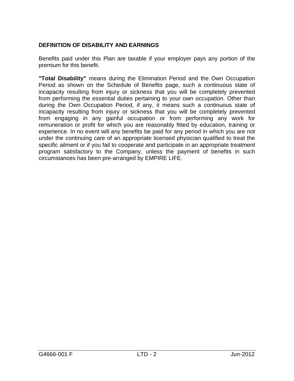## **DEFINITION OF DISABILITY AND EARNINGS**

Benefits paid under this Plan are taxable if your employer pays any portion of the premium for this benefit.

**"Total Disability"** means during the Elimination Period and the Own Occupation Period as shown on the Schedule of Benefits page, such a continuous state of incapacity resulting from injury or sickness that you will be completely prevented from performing the essential duties pertaining to your own occupation. Other than during the Own Occupation Period, if any, it means such a continuous state of incapacity resulting from injury or sickness that you will be completely prevented from engaging in any gainful occupation or from performing any work for remuneration or profit for which you are reasonably fitted by education, training or experience. In no event will any benefits be paid for any period in which you are not under the continuing care of an appropriate licensed physician qualified to treat the specific ailment or if you fail to cooperate and participate in an appropriate treatment program satisfactory to the Company, unless the payment of benefits in such circumstances has been pre-arranged by EMPIRE LIFE.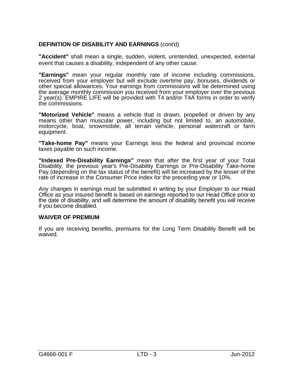## **DEFINITION OF DISABILITY AND EARNINGS** (cont'd)

**"Accident"** shall mean a single, sudden, violent, unintended, unexpected, external event that causes a disability, independent of any other cause.

**"Earnings"** mean your regular monthly rate of income including commissions, received from your employer but will exclude overtime pay, bonuses, dividends or other special allowances. Your earnings from commissions will be determined using the average monthly commission you received from your employer over the previous 2 year(s). EMPIRE LIFE will be provided with T4 and/or T4A forms in order to verify the commissions.

**"Motorized Vehicle"** means a vehicle that is drawn, propelled or driven by any means other than muscular power, including but not limited to, an automobile, motorcycle, boat, snowmobile, all terrain vehicle, personal watercraft or farm equipment.

**"Take-home Pay"** means your Earnings less the federal and provincial income taxes payable on such income.

**"Indexed Pre-Disability Earnings"** mean that after the first year of your Total Disability, the previous year's Pre-Disability Earnings or Pre-Disability Take-home Pay (depending on the tax status of the benefit) will be increased by the lesser of the rate of increase in the Consumer Price Index for the preceding year or 10%.

Any changes in earnings must be submitted in writing by your Employer to our Head Office as your insured benefit is based on earnings reported to our Head Office prior to the date of disability, and will determine the amount of disability benefit you will receive if you become disabled.

#### **WAIVER OF PREMIUM**

If you are receiving benefits, premiums for the Long Term Disability Benefit will be waived.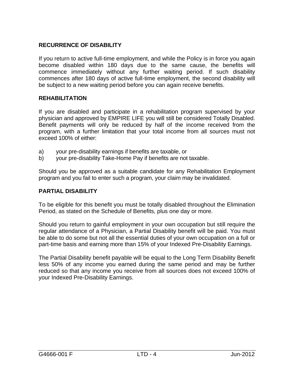## **RECURRENCE OF DISABILITY**

If you return to active full-time employment, and while the Policy is in force you again become disabled within 180 days due to the same cause, the benefits will commence immediately without any further waiting period. If such disability commences after 180 days of active full-time employment, the second disability will be subject to a new waiting period before you can again receive benefits.

#### **REHABILITATION**

If you are disabled and participate in a rehabilitation program supervised by your physician and approved by EMPIRE LIFE you will still be considered Totally Disabled. Benefit payments will only be reduced by half of the income received from the program, with a further limitation that your total income from all sources must not exceed 100% of either:

- a) your pre-disability earnings if benefits are taxable, or
- b) your pre-disability Take-Home Pay if benefits are not taxable.

Should you be approved as a suitable candidate for any Rehabilitation Employment program and you fail to enter such a program, your claim may be invalidated.

#### **PARTIAL DISABILITY**

To be eligible for this benefit you must be totally disabled throughout the Elimination Period, as stated on the Schedule of Benefits, plus one day or more.

Should you return to gainful employment in your own occupation but still require the regular attendance of a Physician, a Partial Disability benefit will be paid. You must be able to do some but not all the essential duties of your own occupation on a full or part-time basis and earning more than 15% of your Indexed Pre-Disability Earnings.

The Partial Disability benefit payable will be equal to the Long Term Disability Benefit less 50% of any income you earned during the same period and may be further reduced so that any income you receive from all sources does not exceed 100% of your Indexed Pre-Disability Earnings.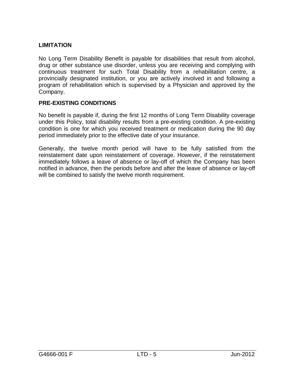## **LIMITATION**

No Long Term Disability Benefit is payable for disabilities that result from alcohol, drug or other substance use disorder, unless you are receiving and complying with continuous treatment for such Total Disability from a rehabilitation centre, a provincially designated institution, or you are actively involved in and following a program of rehabilitation which is supervised by a Physician and approved by the Company.

## **PRE-EXISTING CONDITIONS**

No benefit is payable if, during the first 12 months of Long Term Disability coverage under this Policy, total disability results from a pre-existing condition. A pre-existing condition is one for which you received treatment or medication during the 90 day period immediately prior to the effective date of your insurance.

Generally, the twelve month period will have to be fully satisfied from the reinstatement date upon reinstatement of coverage. However, if the reinstatement immediately follows a leave of absence or lay-off of which the Company has been notified in advance, then the periods before and after the leave of absence or lay-off will be combined to satisfy the twelve month requirement.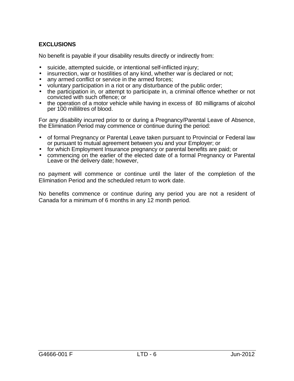## **EXCLUSIONS**

No benefit is payable if your disability results directly or indirectly from:

- suicide, attempted suicide, or intentional self-inflicted injury;
- insurrection, war or hostilities of any kind, whether war is declared or not;
- any armed conflict or service in the armed forces;
- voluntary participation in a riot or any disturbance of the public order;
- the participation in, or attempt to participate in, a criminal offence whether or not convicted with such offence; or
- the operation of a motor vehicle while having in excess of 80 milligrams of alcohol per 100 millilitres of blood.

For any disability incurred prior to or during a Pregnancy/Parental Leave of Absence, the Elimination Period may commence or continue during the period:

- of formal Pregnancy or Parental Leave taken pursuant to Provincial or Federal law or pursuant to mutual agreement between you and your Employer; or
- for which Employment Insurance pregnancy or parental benefits are paid; or
- commencing on the earlier of the elected date of a formal Pregnancy or Parental Leave or the delivery date; however,

no payment will commence or continue until the later of the completion of the Elimination Period and the scheduled return to work date.

No benefits commence or continue during any period you are not a resident of Canada for a minimum of 6 months in any 12 month period.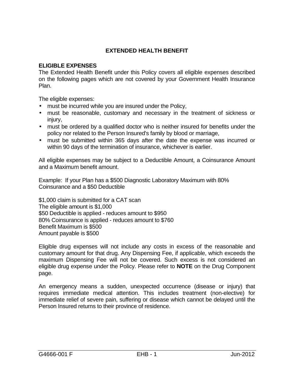## **EXTENDED HEALTH BENEFIT**

#### **ELIGIBLE EXPENSES**

The Extended Health Benefit under this Policy covers all eligible expenses described on the following pages which are not covered by your Government Health Insurance Plan.

The eligible expenses:

- must be incurred while you are insured under the Policy,
- must be reasonable, customary and necessary in the treatment of sickness or injury.
- must be ordered by a qualified doctor who is neither insured for benefits under the policy nor related to the Person Insured's family by blood or marriage,
- must be submitted within 365 days after the date the expense was incurred or within 90 days of the termination of insurance, whichever is earlier.

All eligible expenses may be subject to a Deductible Amount, a Coinsurance Amount and a Maximum benefit amount.

Example: If your Plan has a \$500 Diagnostic Laboratory Maximum with 80% Coinsurance and a \$50 Deductible

\$1,000 claim is submitted for a CAT scan The eligible amount is \$1,000 \$50 Deductible is applied - reduces amount to \$950 80% Coinsurance is applied - reduces amount to \$760 Benefit Maximum is \$500 Amount payable is \$500

Eligible drug expenses will not include any costs in excess of the reasonable and customary amount for that drug. Any Dispensing Fee, if applicable, which exceeds the maximum Dispensing Fee will not be covered. Such excess is not considered an eligible drug expense under the Policy. Please refer to **NOTE** on the Drug Component page.

An emergency means a sudden, unexpected occurrence (disease or injury) that requires immediate medical attention. This includes treatment (non-elective) for immediate relief of severe pain, suffering or disease which cannot be delayed until the Person Insured returns to their province of residence.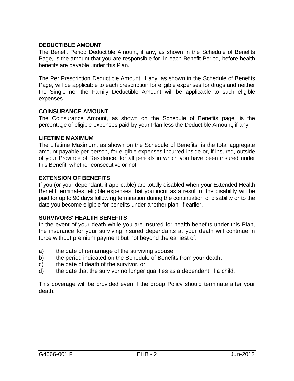## **DEDUCTIBLE AMOUNT**

The Benefit Period Deductible Amount, if any, as shown in the Schedule of Benefits Page, is the amount that you are responsible for, in each Benefit Period, before health benefits are payable under this Plan.

The Per Prescription Deductible Amount, if any, as shown in the Schedule of Benefits Page, will be applicable to each prescription for eligible expenses for drugs and neither the Single nor the Family Deductible Amount will be applicable to such eligible expenses.

#### **COINSURANCE AMOUNT**

The Coinsurance Amount, as shown on the Schedule of Benefits page, is the percentage of eligible expenses paid by your Plan less the Deductible Amount, if any.

#### **LIFETIME MAXIMUM**

The Lifetime Maximum, as shown on the Schedule of Benefits, is the total aggregate amount payable per person, for eligible expenses incurred inside or, if insured, outside of your Province of Residence, for all periods in which you have been insured under this Benefit, whether consecutive or not.

#### **EXTENSION OF BENEFITS**

If you (or your dependant, if applicable) are totally disabled when your Extended Health Benefit terminates, eligible expenses that you incur as a result of the disability will be paid for up to 90 days following termination during the continuation of disability or to the date you become eligible for benefits under another plan, if earlier.

#### **SURVIVORS' HEALTH BENEFITS**

In the event of your death while you are insured for health benefits under this Plan, the insurance for your surviving insured dependants at your death will continue in force without premium payment but not beyond the earliest of:

- a) the date of remarriage of the surviving spouse,
- b) the period indicated on the Schedule of Benefits from your death,
- c) the date of death of the survivor, or
- d) the date that the survivor no longer qualifies as a dependant, if a child.

This coverage will be provided even if the group Policy should terminate after your death.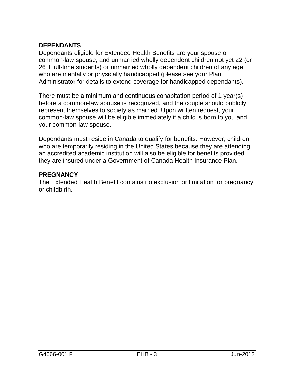# **DEPENDANTS**

Dependants eligible for Extended Health Benefits are your spouse or common-law spouse, and unmarried wholly dependent children not yet 22 (or 26 if full-time students) or unmarried wholly dependent children of any age who are mentally or physically handicapped (please see your Plan Administrator for details to extend coverage for handicapped dependants).

There must be a minimum and continuous cohabitation period of 1 year(s) before a common-law spouse is recognized, and the couple should publicly represent themselves to society as married. Upon written request, your common-law spouse will be eligible immediately if a child is born to you and your common-law spouse.

Dependants must reside in Canada to qualify for benefits. However, children who are temporarily residing in the United States because they are attending an accredited academic institution will also be eligible for benefits provided they are insured under a Government of Canada Health Insurance Plan.

## **PREGNANCY**

The Extended Health Benefit contains no exclusion or limitation for pregnancy or childbirth.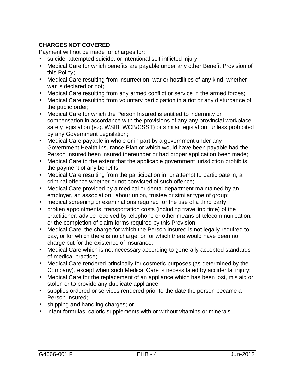# **CHARGES NOT COVERED**

Payment will not be made for charges for:

- suicide, attempted suicide, or intentional self-inflicted injury;
- Medical Care for which benefits are payable under any other Benefit Provision of this Policy;
- Medical Care resulting from insurrection, war or hostilities of any kind, whether war is declared or not;
- Medical Care resulting from any armed conflict or service in the armed forces;
- Medical Care resulting from voluntary participation in a riot or any disturbance of the public order;
- Medical Care for which the Person Insured is entitled to indemnity or compensation in accordance with the provisions of any any provincial workplace safety legislation (e.g. WSIB, WCB/CSST) or similar legislation, unless prohibited by any Government Legislation;
- Medical Care payable in whole or in part by a government under any Government Health Insurance Plan or which would have been payable had the Person Insured been insured thereunder or had proper application been made;
- Medical Care to the extent that the applicable government jurisdiction prohibits the payment of any benefits;
- Medical Care resulting from the participation in, or attempt to participate in, a criminal offence whether or not convicted of such offence;
- Medical Care provided by a medical or dental department maintained by an employer, an association, labour union, trustee or similar type of group;
- medical screening or examinations required for the use of a third party;
- broken appointments, transportation costs (including travelling time) of the practitioner, advice received by telephone or other means of telecommunication, or the completion of claim forms required by this Provision;
- Medical Care, the charge for which the Person Insured is not legally required to pay, or for which there is no charge, or for which there would have been no charge but for the existence of insurance;
- Medical Care which is not necessary according to generally accepted standards of medical practice;
- Medical Care rendered principally for cosmetic purposes (as determined by the Company), except when such Medical Care is necessitated by accidental injury;
- Medical Care for the replacement of an appliance which has been lost, mislaid or stolen or to provide any duplicate appliance;
- supplies ordered or services rendered prior to the date the person became a Person Insured;
- shipping and handling charges; or
- infant formulas, caloric supplements with or without vitamins or minerals.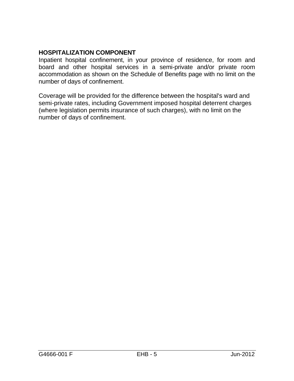# **HOSPITALIZATION COMPONENT**

Inpatient hospital confinement, in your province of residence, for room and board and other hospital services in a semi-private and/or private room accommodation as shown on the Schedule of Benefits page with no limit on the number of days of confinement.

Coverage will be provided for the difference between the hospital's ward and semi-private rates, including Government imposed hospital deterrent charges (where legislation permits insurance of such charges), with no limit on the number of days of confinement.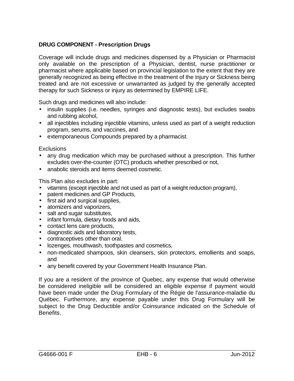# **DRUG COMPONENT - Prescription Drugs**

Coverage will include drugs and medicines dispensed by a Physician or Pharmacist only available on the prescription of a Physician, dentist, nurse practitioner or pharmacist where applicable based on provincial legislation to the extent that they are generally recognized as being effective in the treatment of the injury or Sickness being treated and are not excessive or unwarranted as judged by the generally accepted therapy for such Sickness or injury as determined by EMPIRE LIFE.

Such drugs and medicines will also include:

- insulin supplies (i.e. needles, syringes and diagnostic tests), but excludes swabs and rubbing alcohol,
- all injectibles including injectible vitamins, unless used as part of a weight reduction program, serums, and vaccines, and
- extemporaneous Compounds prepared by a pharmacist.

#### **Exclusions**

- any drug medication which may be purchased without a prescription. This further excludes over-the-counter (OTC) products whether prescribed or not,
- anabolic steroids and items deemed cosmetic.

This Plan also excludes in part:

- vitamins (except injectible and not used as part of a weight reduction program),
- patent medicines and GP Products,
- first aid and surgical supplies,
- atomizers and vaporizers,
- salt and sugar substitutes,
- infant formula, dietary foods and aids,
- contact lens care products,
- diagnostic aids and laboratory tests,
- contraceptives other than oral,
- lozenges, mouthwash, toothpastes and cosmetics,
- non-medicated shampoos, skin cleansers, skin protectors, emollients and soaps, and
- any benefit covered by your Government Health Insurance Plan.

If you are a resident of the province of Quebec, any expense that would otherwise be considered ineligible will be considered an eligible expense if payment would have been made under the Drug Formulary of the Régie de l'assurance-maladie du Québec. Furthermore, any expense payable under this Drug Formulary will be subject to the Drug Deductible and/or Coinsurance indicated on the Schedule of Benefits.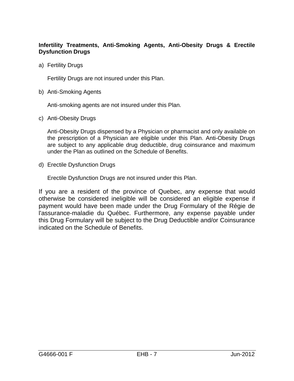#### **Infertility Treatments, Anti-Smoking Agents, Anti-Obesity Drugs & Erectile Dysfunction Drugs**

a) Fertility Drugs

Fertility Drugs are not insured under this Plan.

b) Anti-Smoking Agents

Anti-smoking agents are not insured under this Plan.

c) Anti-Obesity Drugs

Anti-Obesity Drugs dispensed by a Physician or pharmacist and only available on the prescription of a Physician are eligible under this Plan. Anti-Obesity Drugs are subject to any applicable drug deductible, drug coinsurance and maximum under the Plan as outlined on the Schedule of Benefits.

d) Erectile Dysfunction Drugs

Erectile Dysfunction Drugs are not insured under this Plan.

If you are a resident of the province of Quebec, any expense that would otherwise be considered ineligible will be considered an eligible expense if payment would have been made under the Drug Formulary of the Régie de l'assurance-maladie du Québec. Furthermore, any expense payable under this Drug Formulary will be subject to the Drug Deductible and/or Coinsurance indicated on the Schedule of Benefits.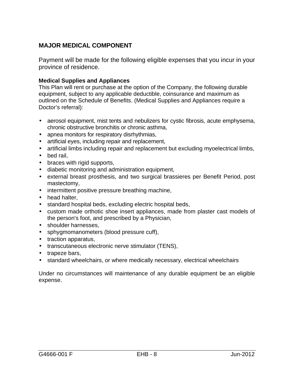# **MAJOR MEDICAL COMPONENT**

Payment will be made for the following eligible expenses that you incur in your province of residence.

#### **Medical Supplies and Appliances**

This Plan will rent or purchase at the option of the Company, the following durable equipment, subject to any applicable deductible, coinsurance and maximum as outlined on the Schedule of Benefits. (Medical Supplies and Appliances require a Doctor's referral):

- aerosol equipment, mist tents and nebulizers for cystic fibrosis, acute emphysema, chronic obstructive bronchitis or chronic asthma,
- apnea monitors for respiratory disrhythmias,
- artificial eyes, including repair and replacement,
- artificial limbs including repair and replacement but excluding myoelectrical limbs,
- bed rail,
- braces with rigid supports,
- diabetic monitoring and administration equipment.
- external breast prosthesis, and two surgical brassieres per Benefit Period, post mastectomy,
- intermittent positive pressure breathing machine,
- head halter,
- standard hospital beds, excluding electric hospital beds,
- custom made orthotic shoe insert appliances, made from plaster cast models of the person's foot, and prescribed by a Physician,
- shoulder harnesses,
- sphygmomanometers (blood pressure cuff),
- traction apparatus,
- transcutaneous electronic nerve stimulator (TENS),
- trapeze bars,
- standard wheelchairs, or where medically necessary, electrical wheelchairs

Under no circumstances will maintenance of any durable equipment be an eligible expense.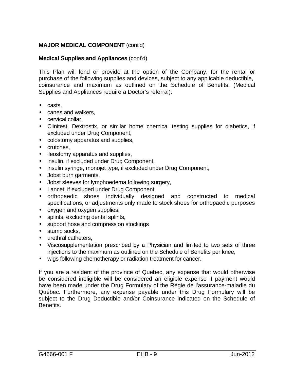#### **Medical Supplies and Appliances** (cont'd)

This Plan will lend or provide at the option of the Company, for the rental or purchase of the following supplies and devices, subject to any applicable deductible, coinsurance and maximum as outlined on the Schedule of Benefits. (Medical Supplies and Appliances require a Doctor's referral):

- casts,
- canes and walkers,
- cervical collar,
- Clinitest, Dextrostix, or similar home chemical testing supplies for diabetics, if excluded under Drug Component,
- colostomy apparatus and supplies,
- crutches,
- ileostomy apparatus and supplies,
- insulin, if excluded under Drug Component,
- insulin syringe, monojet type, if excluded under Drug Component,
- Jobst burn garments,
- Jobst sleeves for lymphoedema following surgery,
- Lancet, if excluded under Drug Component,
- orthopaedic shoes individually designed and constructed to medical specifications, or adjustments only made to stock shoes for orthopaedic purposes
- oxygen and oxygen supplies,
- splints, excluding dental splints,
- support hose and compression stockings
- stump socks.
- urethral catheters,
- Viscosupplementation prescribed by a Physician and limited to two sets of three injections to the maximum as outlined on the Schedule of Benefits per knee,
- wigs following chemotherapy or radiation treatment for cancer.

If you are a resident of the province of Quebec, any expense that would otherwise be considered ineligible will be considered an eligible expense if payment would have been made under the Drug Formulary of the Régie de l'assurance-maladie du Québec. Furthermore, any expense payable under this Drug Formulary will be subject to the Drug Deductible and/or Coinsurance indicated on the Schedule of Benefits.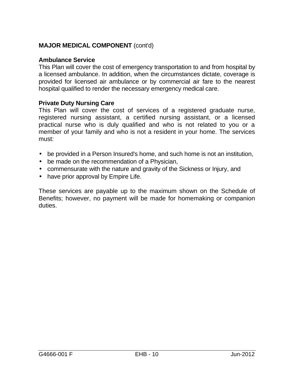# **Ambulance Service**

This Plan will cover the cost of emergency transportation to and from hospital by a licensed ambulance. In addition, when the circumstances dictate, coverage is provided for licensed air ambulance or by commercial air fare to the nearest hospital qualified to render the necessary emergency medical care.

# **Private Duty Nursing Care**

This Plan will cover the cost of services of a registered graduate nurse, registered nursing assistant, a certified nursing assistant, or a licensed practical nurse who is duly qualified and who is not related to you or a member of your family and who is not a resident in your home. The services must:

- be provided in a Person Insured's home, and such home is not an institution,
- be made on the recommendation of a Physician,
- commensurate with the nature and gravity of the Sickness or Injury, and
- have prior approval by Empire Life.

These services are payable up to the maximum shown on the Schedule of Benefits; however, no payment will be made for homemaking or companion duties.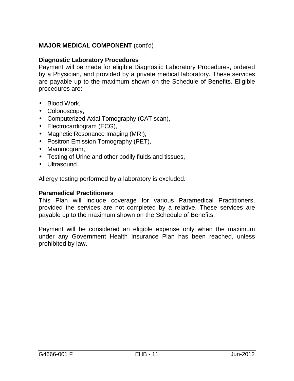# **Diagnostic Laboratory Procedures**

Payment will be made for eligible Diagnostic Laboratory Procedures, ordered by a Physician, and provided by a private medical laboratory. These services are payable up to the maximum shown on the Schedule of Benefits. Eligible procedures are:

- Blood Work,
- Colonoscopy,
- Computerized Axial Tomography (CAT scan),
- Electrocardiogram (ECG),
- Magnetic Resonance Imaging (MRI),
- Positron Emission Tomography (PET),
- Mammogram,
- Testing of Urine and other bodily fluids and tissues,
- Ultrasound.

Allergy testing performed by a laboratory is excluded.

### **Paramedical Practitioners**

This Plan will include coverage for various Paramedical Practitioners, provided the services are not completed by a relative. These services are payable up to the maximum shown on the Schedule of Benefits.

Payment will be considered an eligible expense only when the maximum under any Government Health Insurance Plan has been reached, unless prohibited by law.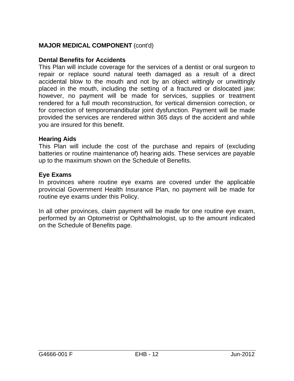# **Dental Benefits for Accidents**

This Plan will include coverage for the services of a dentist or oral surgeon to repair or replace sound natural teeth damaged as a result of a direct accidental blow to the mouth and not by an object wittingly or unwittingly placed in the mouth, including the setting of a fractured or dislocated jaw; however, no payment will be made for services, supplies or treatment rendered for a full mouth reconstruction, for vertical dimension correction, or for correction of temporomandibular joint dysfunction. Payment will be made provided the services are rendered within 365 days of the accident and while you are insured for this benefit.

#### **Hearing Aids**

This Plan will include the cost of the purchase and repairs of (excluding batteries or routine maintenance of) hearing aids. These services are payable up to the maximum shown on the Schedule of Benefits.

#### **Eye Exams**

In provinces where routine eye exams are covered under the applicable provincial Government Health Insurance Plan, no payment will be made for routine eye exams under this Policy.

In all other provinces, claim payment will be made for one routine eye exam, performed by an Optometrist or Ophthalmologist, up to the amount indicated on the Schedule of Benefits page.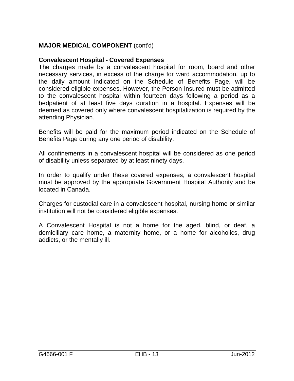# **Convalescent Hospital - Covered Expenses**

The charges made by a convalescent hospital for room, board and other necessary services, in excess of the charge for ward accommodation, up to the daily amount indicated on the Schedule of Benefits Page, will be considered eligible expenses. However, the Person Insured must be admitted to the convalescent hospital within fourteen days following a period as a bedpatient of at least five days duration in a hospital. Expenses will be deemed as covered only where convalescent hospitalization is required by the attending Physician.

Benefits will be paid for the maximum period indicated on the Schedule of Benefits Page during any one period of disability.

All confinements in a convalescent hospital will be considered as one period of disability unless separated by at least ninety days.

In order to qualify under these covered expenses, a convalescent hospital must be approved by the appropriate Government Hospital Authority and be located in Canada.

Charges for custodial care in a convalescent hospital, nursing home or similar institution will not be considered eligible expenses.

A Convalescent Hospital is not a home for the aged, blind, or deaf, a domiciliary care home, a maternity home, or a home for alcoholics, drug addicts, or the mentally ill.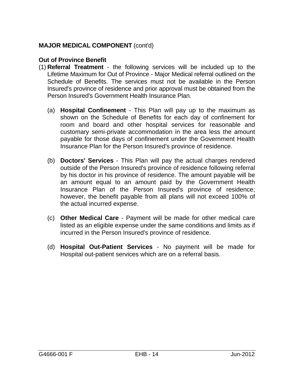# **Out of Province Benefit**

- (1) **Referral Treatment** the following services will be included up to the Lifetime Maximum for Out of Province - Major Medical referral outlined on the Schedule of Benefits. The services must not be available in the Person Insured's province of residence and prior approval must be obtained from the Person Insured's Government Health Insurance Plan.
	- (a) **Hospital Confinement** This Plan will pay up to the maximum as shown on the Schedule of Benefits for each day of confinement for room and board and other hospital services for reasonable and customary semi-private accommodation in the area less the amount payable for those days of confinement under the Government Health Insurance Plan for the Person Insured's province of residence.
	- (b) **Doctors' Services** This Plan will pay the actual charges rendered outside of the Person Insured's province of residence following referral by his doctor in his province of residence. The amount payable will be an amount equal to an amount paid by the Government Health Insurance Plan of the Person Insured's province of residence; however, the benefit payable from all plans will not exceed 100% of the actual incurred expense.
	- (c) **Other Medical Care** Payment will be made for other medical care listed as an eligible expense under the same conditions and limits as if incurred in the Person Insured's province of residence.
	- (d) **Hospital Out-Patient Services**  No payment will be made for Hospital out-patient services which are on a referral basis.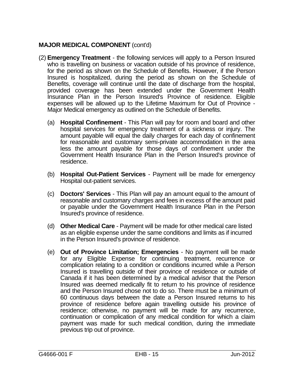- (2) **Emergency Treatment** the following services will apply to a Person Insured who is travelling on business or vacation outside of his province of residence, for the period as shown on the Schedule of Benefits. However, if the Person Insured is hospitalized, during the period as shown on the Schedule of Benefits, coverage will continue until the date of discharge from the hospital, provided coverage has been extended under the Government Health Insurance Plan in the Person Insured's Province of residence. Eligible expenses will be allowed up to the Lifetime Maximum for Out of Province - Major Medical emergency as outlined on the Schedule of Benefits.
	- (a) **Hospital Confinement** This Plan will pay for room and board and other hospital services for emergency treatment of a sickness or injury. The amount payable will equal the daily charges for each day of confinement for reasonable and customary semi-private accommodation in the area less the amount payable for those days of confinement under the Government Health Insurance Plan in the Person Insured's province of residence.
	- (b) **Hospital Out-Patient Services** Payment will be made for emergency Hospital out-patient services.
	- (c) **Doctors' Services**  This Plan will pay an amount equal to the amount of reasonable and customary charges and fees in excess of the amount paid or payable under the Government Health Insurance Plan in the Person Insured's province of residence.
	- (d) **Other Medical Care** Payment will be made for other medical care listed as an eligible expense under the same conditions and limits as if incurred in the Person Insured's province of residence.
	- (e) **Out of Province Limitation; Emergencies** No payment will be made for any Eligible Expense for continuing treatment, recurrence or complication relating to a condition or conditions incurred while a Person Insured is travelling outside of their province of residence or outside of Canada if it has been determined by a medical advisor that the Person Insured was deemed medically fit to return to his province of residence and the Person Insured chose not to do so. There must be a minimum of 60 continuous days between the date a Person Insured returns to his province of residence before again travelling outside his province of residence; otherwise, no payment will be made for any recurrence, continuation or complication of any medical condition for which a claim payment was made for such medical condition, during the immediate previous trip out of province.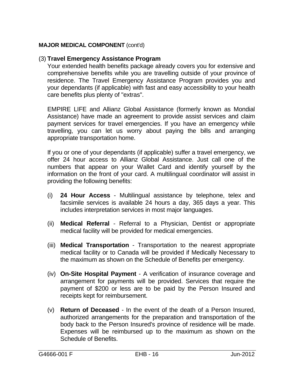# (3) **Travel Emergency Assistance Program**

Your extended health benefits package already covers you for extensive and comprehensive benefits while you are travelling outside of your province of residence. The Travel Emergency Assistance Program provides you and your dependants (if applicable) with fast and easy accessibility to your health care benefits plus plenty of "extras".

EMPIRE LIFE and Allianz Global Assistance (formerly known as Mondial Assistance) have made an agreement to provide assist services and claim payment services for travel emergencies. If you have an emergency while travelling, you can let us worry about paying the bills and arranging appropriate transportation home.

If you or one of your dependants (if applicable) suffer a travel emergency, we offer 24 hour access to Allianz Global Assistance. Just call one of the numbers that appear on your Wallet Card and identify yourself by the information on the front of your card. A multilingual coordinator will assist in providing the following benefits:

- (i) **24 Hour Access** Multilingual assistance by telephone, telex and facsimile services is available 24 hours a day, 365 days a year. This includes interpretation services in most major languages.
- (ii) **Medical Referral** Referral to a Physician, Dentist or appropriate medical facility will be provided for medical emergencies.
- (iii) **Medical Transportation**  Transportation to the nearest appropriate medical facility or to Canada will be provided if Medically Necessary to the maximum as shown on the Schedule of Benefits per emergency.
- (iv) **On-Site Hospital Payment**  A verification of insurance coverage and arrangement for payments will be provided. Services that require the payment of \$200 or less are to be paid by the Person Insured and receipts kept for reimbursement.
- (v) **Return of Deceased**  In the event of the death of a Person Insured, authorized arrangements for the preparation and transportation of the body back to the Person Insured's province of residence will be made. Expenses will be reimbursed up to the maximum as shown on the Schedule of Benefits.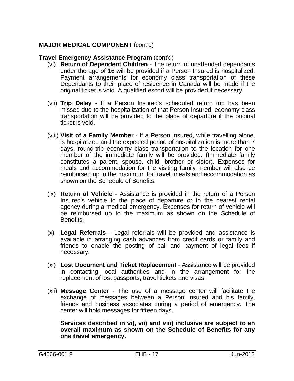# **Travel Emergency Assistance Program** (cont'd)

- (vi) **Return of Dependent Children** The return of unattended dependants under the age of 16 will be provided if a Person Insured is hospitalized. Payment arrangements for economy class transportation of these Dependants to their place of residence in Canada will be made if the original ticket is void. A qualified escort will be provided if necessary.
- (vii) **Trip Delay** If a Person Insured's scheduled return trip has been missed due to the hospitalization of that Person Insured, economy class transportation will be provided to the place of departure if the original ticket is void.
- (viii) **Visit of a Family Member** If a Person Insured, while travelling alone, is hospitalized and the expected period of hospitalization is more than 7 days, round-trip economy class transportation to the location for one member of the immediate family will be provided. (Immediate family constitutes a parent, spouse, child, brother or sister). Expenses for meals and accommodation for the visiting family member will also be reimbursed up to the maximum for travel, meals and accommodation as shown on the Schedule of Benefits.
- (ix) **Return of Vehicle** Assistance is provided in the return of a Person Insured's vehicle to the place of departure or to the nearest rental agency during a medical emergency. Expenses for return of vehicle will be reimbursed up to the maximum as shown on the Schedule of Benefits.
- (x) **Legal Referrals** Legal referrals will be provided and assistance is available in arranging cash advances from credit cards or family and friends to enable the posting of bail and payment of legal fees if necessary.
- (xi) **Lost Document and Ticket Replacement** Assistance will be provided in contacting local authorities and in the arrangement for the replacement of lost passports, travel tickets and visas.
- (xii) **Message Center** The use of a message center will facilitate the exchange of messages between a Person Insured and his family, friends and business associates during a period of emergency. The center will hold messages for fifteen days.

**Services described in vi), vii) and viii) inclusive are subject to an overall maximum as shown on the Schedule of Benefits for any one travel emergency.**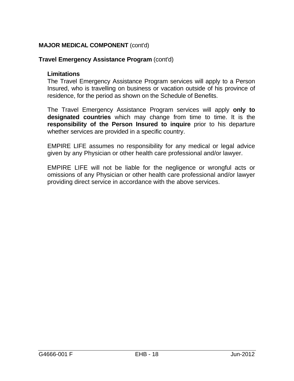# **Travel Emergency Assistance Program** (cont'd)

## **Limitations**

The Travel Emergency Assistance Program services will apply to a Person Insured, who is travelling on business or vacation outside of his province of residence, for the period as shown on the Schedule of Benefits.

The Travel Emergency Assistance Program services will apply **only to designated countries** which may change from time to time. It is the **responsibility of the Person Insured to inquire** prior to his departure whether services are provided in a specific country.

EMPIRE LIFE assumes no responsibility for any medical or legal advice given by any Physician or other health care professional and/or lawyer.

EMPIRE LIFE will not be liable for the negligence or wrongful acts or omissions of any Physician or other health care professional and/or lawyer providing direct service in accordance with the above services.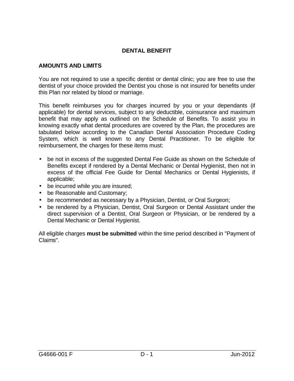# **DENTAL BENEFIT**

## **AMOUNTS AND LIMITS**

You are not required to use a specific dentist or dental clinic; you are free to use the dentist of your choice provided the Dentist you chose is not insured for benefits under this Plan nor related by blood or marriage.

This benefit reimburses you for charges incurred by you or your dependants (if applicable) for dental services, subject to any deductible, coinsurance and maximum benefit that may apply as outlined on the Schedule of Benefits. To assist you in knowing exactly what dental procedures are covered by the Plan, the procedures are tabulated below according to the Canadian Dental Association Procedure Coding System, which is well known to any Dental Practitioner. To be eligible for reimbursement, the charges for these items must:

- be not in excess of the suggested Dental Fee Guide as shown on the Schedule of Benefits except if rendered by a Dental Mechanic or Dental Hygienist, then not in excess of the official Fee Guide for Dental Mechanics or Dental Hygienists, if applicable;
- be incurred while you are insured;
- be Reasonable and Customary;
- be recommended as necessary by a Physician, Dentist, or Oral Surgeon;
- be rendered by a Physician, Dentist, Oral Surgeon or Dental Assistant under the direct supervision of a Dentist, Oral Surgeon or Physician, or be rendered by a Dental Mechanic or Dental Hygienist.

All eligible charges **must be submitted** within the time period described in "Payment of Claims".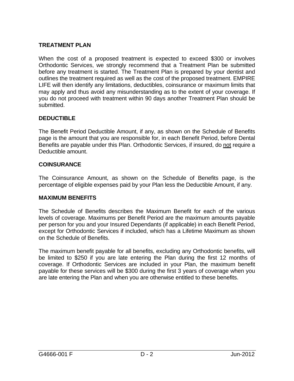## **TREATMENT PLAN**

When the cost of a proposed treatment is expected to exceed \$300 or involves Orthodontic Services, we strongly recommend that a Treatment Plan be submitted before any treatment is started. The Treatment Plan is prepared by your dentist and outlines the treatment required as well as the cost of the proposed treatment. EMPIRE LIFE will then identify any limitations, deductibles, coinsurance or maximum limits that may apply and thus avoid any misunderstanding as to the extent of your coverage. If you do not proceed with treatment within 90 days another Treatment Plan should be submitted.

## **DEDUCTIBLE**

The Benefit Period Deductible Amount, if any, as shown on the Schedule of Benefits page is the amount that you are responsible for, in each Benefit Period, before Dental Benefits are payable under this Plan. Orthodontic Services, if insured, do not require a Deductible amount.

#### **COINSURANCE**

The Coinsurance Amount, as shown on the Schedule of Benefits page, is the percentage of eligible expenses paid by your Plan less the Deductible Amount, if any.

#### **MAXIMUM BENEFITS**

The Schedule of Benefits describes the Maximum Benefit for each of the various levels of coverage. Maximums per Benefit Period are the maximum amounts payable per person for you and your Insured Dependants (if applicable) in each Benefit Period, except for Orthodontic Services if included, which has a Lifetime Maximum as shown on the Schedule of Benefits.

The maximum benefit payable for all benefits, excluding any Orthodontic benefits, will be limited to \$250 if you are late entering the Plan during the first 12 months of coverage. If Orthodontic Services are included in your Plan, the maximum benefit payable for these services will be \$300 during the first 3 years of coverage when you are late entering the Plan and when you are otherwise entitled to these benefits.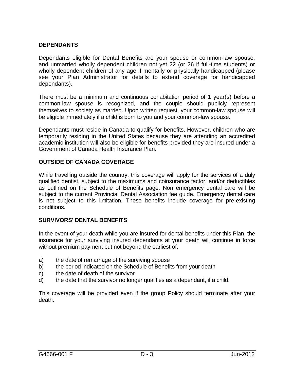## **DEPENDANTS**

Dependants eligible for Dental Benefits are your spouse or common-law spouse, and unmarried wholly dependent children not yet 22 (or 26 if full-time students) or wholly dependent children of any age if mentally or physically handicapped (please see your Plan Administrator for details to extend coverage for handicapped dependants).

There must be a minimum and continuous cohabitation period of 1 year(s) before a common-law spouse is recognized, and the couple should publicly represent themselves to society as married. Upon written request, your common-law spouse will be eligible immediately if a child is born to you and your common-law spouse.

Dependants must reside in Canada to qualify for benefits. However, children who are temporarily residing in the United States because they are attending an accredited academic institution will also be eligible for benefits provided they are insured under a Government of Canada Health Insurance Plan.

#### **OUTSIDE OF CANADA COVERAGE**

While travelling outside the country, this coverage will apply for the services of a duly qualified dentist, subject to the maximums and coinsurance factor, and/or deductibles as outlined on the Schedule of Benefits page. Non emergency dental care will be subject to the current Provincial Dental Association fee guide. Emergency dental care is not subject to this limitation. These benefits include coverage for pre-existing conditions.

#### **SURVIVORS' DENTAL BENEFITS**

In the event of your death while you are insured for dental benefits under this Plan, the insurance for your surviving insured dependants at your death will continue in force without premium payment but not beyond the earliest of:

- a) the date of remarriage of the surviving spouse
- b) the period indicated on the Schedule of Benefits from your death
- c) the date of death of the survivor
- d) the date that the survivor no longer qualifies as a dependant, if a child.

This coverage will be provided even if the group Policy should terminate after your death.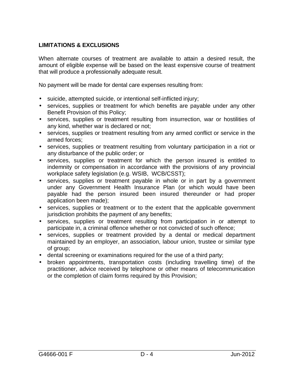# **LIMITATIONS & EXCLUSIONS**

When alternate courses of treatment are available to attain a desired result, the amount of eligible expense will be based on the least expensive course of treatment that will produce a professionally adequate result.

No payment will be made for dental care expenses resulting from:

- suicide, attempted suicide, or intentional self-inflicted injury;
- services, supplies or treatment for which benefits are payable under any other Benefit Provision of this Policy;
- services, supplies or treatment resulting from insurrection, war or hostilities of any kind, whether war is declared or not;
- services, supplies or treatment resulting from any armed conflict or service in the armed forces;
- services, supplies or treatment resulting from voluntary participation in a riot or any disturbance of the public order; or
- services, supplies or treatment for which the person insured is entitled to indemnity or compensation in accordance with the provisions of any provincial workplace safety legislation (e.g. WSIB, WCB/CSST);
- services, supplies or treatment payable in whole or in part by a government under any Government Health Insurance Plan (or which would have been payable had the person insured been insured thereunder or had proper application been made);
- services, supplies or treatment or to the extent that the applicable government jurisdiction prohibits the payment of any benefits;
- services, supplies or treatment resulting from participation in or attempt to participate in, a criminal offence whether or not convicted of such offence;
- services, supplies or treatment provided by a dental or medical department maintained by an employer, an association, labour union, trustee or similar type of group;
- dental screening or examinations required for the use of a third party;
- broken appointments, transportation costs (including travelling time) of the practitioner, advice received by telephone or other means of telecommunication or the completion of claim forms required by this Provision;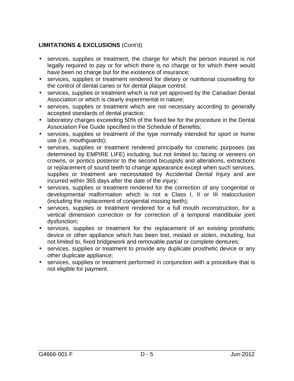# **LIMITATIONS & EXCLUSIONS** (Cont'd)

- services, supplies or treatment, the charge for which the person insured is not legally required to pay or for which there is no charge or for which there would have been no charge but for the existence of insurance;
- services, supplies or treatment rendered for dietary or nutritional counselling for the control of dental caries or for dental plaque control;
- services, supplies or treatment which is not yet approved by the Canadian Dental Association or which is clearly experimental in nature;
- services, supplies or treatment which are not necessary according to generally accepted standards of dental practice;
- laboratory charges exceeding 50% of the fixed fee for the procedure in the Dental Association Fee Guide specified in the Schedule of Benefits;
- services, supplies or treatment of the type normally intended for sport or home use (i.e. mouthguards);
- services, supplies or treatment rendered principally for cosmetic purposes (as determined by EMPIRE LIFE) including, but not limited to, facing or veneers on crowns, or pontics posterior to the second bicuspids and alterations, extractions or replacement of sound teeth to change appearance except when such services, supplies or treatment are necessitated by Accidental Dental Injury and are incurred within 365 days after the date of the injury;
- services, supplies or treatment rendered for the correction of any congenital or developmental malformation which is not a Class I, II or III malocclusion (including the replacement of congenital missing teeth);
- services, supplies or treatment rendered for a full mouth reconstruction, for a vertical dimension correction or for correction of a temporal mandibular joint dysfunction;
- services, supplies or treatment for the replacement of an existing prosthetic device or other appliance which has been lost, mislaid or stolen, including, but not limited to, fixed bridgework and removable partial or complete dentures;
- services, supplies or treatment to provide any duplicate prosthetic device or any other duplicate appliance;
- services, supplies or treatment performed in conjunction with a procedure that is not eligible for payment.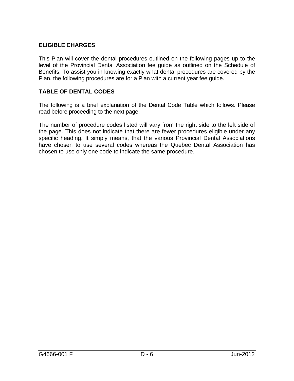## **ELIGIBLE CHARGES**

This Plan will cover the dental procedures outlined on the following pages up to the level of the Provincial Dental Association fee guide as outlined on the Schedule of Benefits. To assist you in knowing exactly what dental procedures are covered by the Plan, the following procedures are for a Plan with a current year fee guide.

### **TABLE OF DENTAL CODES**

The following is a brief explanation of the Dental Code Table which follows. Please read before proceeding to the next page.

The number of procedure codes listed will vary from the right side to the left side of the page. This does not indicate that there are fewer procedures eligible under any specific heading. It simply means, that the various Provincial Dental Associations have chosen to use several codes whereas the Quebec Dental Association has chosen to use only one code to indicate the same procedure.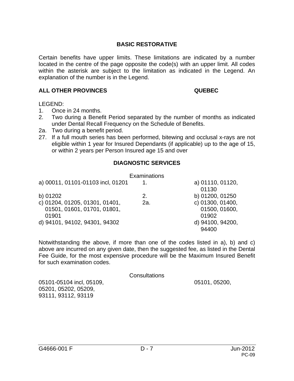Certain benefits have upper limits. These limitations are indicated by a number located in the centre of the page opposite the code(s) with an upper limit. All codes within the asterisk are subject to the limitation as indicated in the Legend. An explanation of the number is in the Legend.

#### **ALL OTHER PROVINCES QUEBEC**

LEGEND:

- 1. Once in 24 months.
- 2. Two during a Benefit Period separated by the number of months as indicated under Dental Recall Frequency on the Schedule of Benefits.
- 2a. Two during a benefit period.
- 27. If a full mouth series has been performed, bitewing and occlusal x-rays are not eligible within 1 year for Insured Dependants (if applicable) up to the age of 15, or within 2 years per Person Insured age 15 and over

## **DIAGNOSTIC SERVICES**

|                                   | Examinations |                  |
|-----------------------------------|--------------|------------------|
| a) 00011, 01101-01103 incl, 01201 |              | a) 01110, 01120, |
|                                   |              | 01130            |
| b) 01202                          | 2.           | b) 01200, 01250  |
| c) 01204, 01205, 01301, 01401,    | 2a.          | c) 01300, 01400, |
| 01501, 01601, 01701, 01801,       |              | 01500, 01600,    |
| 01901                             |              | 01902            |
| d) 94101, 94102, 94301, 94302     |              | d) 94100, 94200, |
|                                   |              | 94400            |

Notwithstanding the above, if more than one of the codes listed in a), b) and c) above are incurred on any given date, then the suggested fee, as listed in the Dental Fee Guide, for the most expensive procedure will be the Maximum Insured Benefit for such examination codes.

**Consultations** 

05101-05104 incl, 05109, 05101, 05200, 05201, 05202, 05209, 93111, 93112, 93119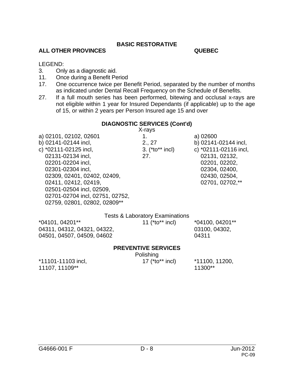#### **ALL OTHER PROVINCES QUEBEC**

LEGEND:

- 3. Only as a diagnostic aid.
- 11. Once during a Benefit Period
- 17. One occurrence twice per Benefit Period, separated by the number of months as indicated under Dental Recall Frequency on the Schedule of Benefits.
- 27. If a full mouth series has been performed, bitewing and occlusal x-rays are not eligible within 1 year for Insured Dependants (if applicable) up to the age of 15, or within 2 years per Person Insured age 15 and over

#### **DIAGNOSTIC SERVICES (Cont'd)**

X-rays

a) 02101, 02102, 02601 1. a) 02600 b) 02141-02144 incl, 2., 27 b) 02141-02144 incl, c) \*02111-02125 incl, 3. (\*to\*\* incl) c) \*02111-02116 incl, 02131-02134 incl, 27. 02131, 02132, 02201-02204 incl, 02201, 02202, 02301-02304 incl, 02304, 02400, 02309, 02401, 02402, 02409, 02430, 02504, 02411, 02412, 02419, 02000 02701, 02702, 02701, 02702, 02702, 02702, 02702, 0270 02501-02504 incl, 02509, 02701-02704 incl, 02751, 02752, 02759, 02801, 02802, 02809\*\*

|                             | <b>Tests &amp; Laboratory Examinations</b> |                   |
|-----------------------------|--------------------------------------------|-------------------|
| *04101, 04201**             | 11 ( $*$ to $*$ * incl)                    | $*04100, 04201**$ |
| 04311, 04312, 04321, 04322, |                                            | 03100, 04302,     |
| 04501, 04507, 04509, 04602  |                                            | 04311             |
|                             |                                            |                   |

#### **PREVENTIVE SERVICES**

Polishing

\*11101-11103 incl, 17 (\*to\*\* incl) \*11100, 11200, 11107, 11109\*\*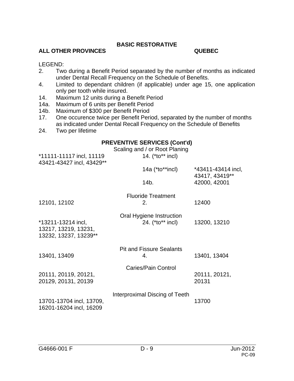## **ALL OTHER PROVINCES QUEBEC**

#### LEGEND:

- 2. Two during a Benefit Period separated by the number of months as indicated under Dental Recall Frequency on the Schedule of Benefits.
- 4. Limited to dependant children (if applicable) under age 15, one application only per tooth while insured.
- 14. Maximum 12 units during a Benefit Period
- 14a. Maximum of 6 units per Benefit Period
- 14b. Maximum of \$300 per Benefit Period
- 17. One occurence twice per Benefit Period, separated by the number of months as indicated under Dental Recall Frequency on the Schedule of Benefits
- 24. Two per lifetime

#### **PREVENTIVE SERVICES (Cont'd)**

| *11111-11117 incl, 11119<br>43421-43427 incl, 43429** | Scaling and / or Root Planing<br>14. (*to** incl) |                                      |
|-------------------------------------------------------|---------------------------------------------------|--------------------------------------|
|                                                       | $14a$ ( $*$ to $*$ $*$ incl)                      | *43411-43414 incl,<br>43417, 43419** |
|                                                       | 14b.                                              | 42000, 42001                         |
|                                                       | <b>Fluoride Treatment</b>                         |                                      |
| 12101, 12102                                          | 2.                                                | 12400                                |
|                                                       | Oral Hygiene Instruction                          |                                      |
| *13211-13214 incl,                                    | 24. (*to** incl)                                  | 13200, 13210                         |
| 13217, 13219, 13231,                                  |                                                   |                                      |
| 13232, 13237, 13239**                                 |                                                   |                                      |
|                                                       | <b>Pit and Fissure Sealants</b>                   |                                      |
| 13401, 13409                                          | 4.                                                | 13401, 13404                         |
|                                                       | Caries/Pain Control                               |                                      |
| 20111, 20119, 20121,                                  |                                                   | 20111, 20121,                        |
| 20129, 20131, 20139                                   |                                                   | 20131                                |
|                                                       | Interproximal Discing of Teeth                    |                                      |
| 13701-13704 incl, 13709,<br>16201-16204 incl, 16209   |                                                   | 13700                                |
|                                                       |                                                   |                                      |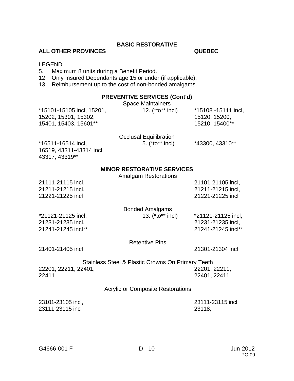#### **ALL OTHER PROVINCES QUEBEC**

#### LEGEND:

- 5. Maximum 8 units during a Benefit Period.
- 12. Only Insured Dependants age 15 or under (if applicable).
- 13. Reimbursement up to the cost of non-bonded amalgams.

#### **PREVENTIVE SERVICES (Cont'd)**

#### Space Maintainers

\*15101-15105 incl, 15201, 12. (\*to\*\* incl) \*15108 -15111 incl, 15202, 15301, 15302, 15120, 15200, 15401, 15403, 15601\*\* 15210, 15400\*\*

|                          | <b>Occlusal Equilibration</b> |                 |
|--------------------------|-------------------------------|-----------------|
| *16511-16514 incl,       | 5. $(*to**$ incl)             | *43300, 43310** |
| 16519, 43311-43314 incl, |                               |                 |

#### **MINOR RESTORATIVE SERVICES**

Amalgam Restorations

| 21111-21115 incl,  |                        | 21101-21105 incl,  |
|--------------------|------------------------|--------------------|
| 21211-21215 incl,  |                        | 21211-21215 incl,  |
| 21221-21225 incl   |                        | 21221-21225 incl   |
|                    | <b>Bonded Amalgams</b> |                    |
| *21121-21125 incl, | 13. (*to** incl)       | *21121-21125 incl, |
| 21231-21235 incl,  |                        | 21231-21235 incl,  |
| 21241-21245 incl** |                        | 21241-21245 incl** |

Retentive Pins

21401-21405 incl 21301-21304 incl

43317, 43319\*\*

|                      | <b>Stainless Steel &amp; Plastic Crowns On Primary Teeth</b> |
|----------------------|--------------------------------------------------------------|
| 22201, 22211, 22401, | 22201, 22211,                                                |
| 22411                | 22401, 22411                                                 |

#### Acrylic or Composite Restorations

| 23101-23105 incl, | 23111-23115 incl, |
|-------------------|-------------------|
| 23111-23115 incl  | 23118,            |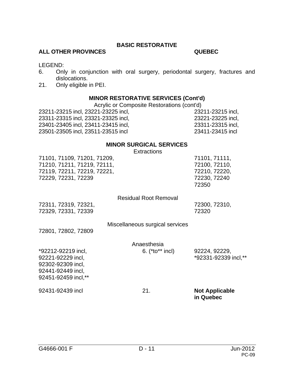### **ALL OTHER PROVINCES QUEBEC**

LEGEND:

- 6. Only in conjunction with oral surgery, periodontal surgery, fractures and dislocations.
- 21. Only eligible in PEI.

#### **MINOR RESTORATIVE SERVICES (Cont'd)**

Acrylic or Composite Restorations (cont'd)

23211-23215 incl, 23221-23225 incl, 23211-23215 incl, 23311-23315 incl, 23321-23325 incl, 23221-23225 incl, 23401-23405 incl, 23411-23415 incl, 23311-23315 incl, 23501-23505 incl, 23511-23515 incl 23411-23415 incl

#### **MINOR SURGICAL SERVICES**

Extractions

| 92451-92459 incl,**<br>92431-92439 incl                                                                          | 21.                              | <b>Not Applicable</b>                                                    |
|------------------------------------------------------------------------------------------------------------------|----------------------------------|--------------------------------------------------------------------------|
| *92212-92219 incl,<br>92221-92229 incl,<br>92302-92309 incl,<br>92441-92449 incl,                                | Anaesthesia<br>6. $(*to**$ incl) | 92224, 92229,<br>*92331-92339 incl,**                                    |
| 72801, 72802, 72809                                                                                              | Miscellaneous surgical services  |                                                                          |
| 72311, 72319, 72321,<br>72329, 72331, 72339                                                                      | <b>Residual Root Removal</b>     | 72300, 72310,<br>72320                                                   |
| 71101, 71109, 71201, 71209,<br>71210, 71211, 71219, 72111,<br>72119, 72211, 72219, 72221,<br>72229, 72231, 72239 |                                  | 71101, 71111,<br>72100, 72110,<br>72210, 72220,<br>72230, 72240<br>72350 |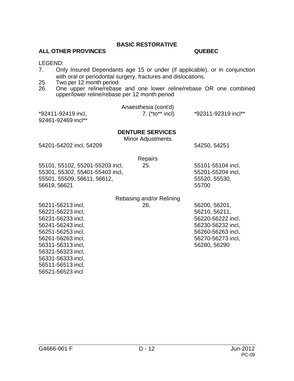#### **ALL OTHER PROVINCES QUEBEC**

LEGEND:

- 7. Only Insured Dependants age 15 or under (if applicable), or in conjunction with oral or periodontal surgery, fractures and dislocations.
- 25. Two per 12 month period
- 26. One upper reline/rebase and one lower reline/rebase OR one combined upper/lower reline/rebase per 12 month period

|                    | Anaesthesia (cont'd) |                     |
|--------------------|----------------------|---------------------|
| *92411-92419 incl, | 7. $(*to**$ incl)    | *92311-92319 incl** |
| 92461-92469 incl** |                      |                     |

#### **DENTURE SERVICES**

Minor Adjustments

54201-54202 incl, 54209 54250, 54251

**Repairs** 

55101, 55102, 55201-55203 incl, 25. 55101-55104 incl, 55301, 55302, 55401-55403 incl, 55201-55204 incl, 55501, 55509, 56611, 56612, 55530, 55530, 55530, 55530, 55530, 55530, 55530, 55530, 55530, 55530, 555 56619, 56621 55700

#### Rebasing and/or Relining 56211-56213 incl, 26. 56200, 56201,

56221-56223 incl, 56210, 56211, 56231-56233 incl, 56220-56222 incl, 56241-56243 incl, 56230-56232 incl, 56251-56253 incl, 56260-56263 incl, 56261-56263 incl, 56270-56273 incl, 56311-56313 incl, 56280, 56290 56321-56323 incl, 56331-56333 incl, 56511-56513 incl, 56521-56523 incl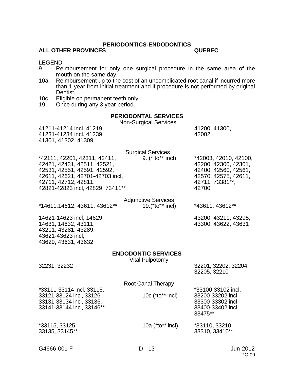#### **PERIODONTICS-ENDODONTICS**

#### **ALL OTHER PROVINCES QUEBEC**

# LEGEND:<br>9. Rei

- Reimbursement for only one surgical procedure in the same area of the mouth on the same day.
- 10a. Reimbursement up to the cost of an uncomplicated root canal if incurred more than 1 year from initial treatment and if procedure is not performed by original Dentist.
- 10c. Eligible on permanent teeth only.
- 19. Once during any 3 year period.

#### **PERIODONTAL SERVICES**

Non-Surgical Services

| 41211-41214 incl, 41219,<br>41231-41234 incl, 41239,<br>41301, 41302, 41309                                                                                                               | i vuit-Jurgiual Juriviuus                            | 41200, 41300,<br>42002                                                                                                    |
|-------------------------------------------------------------------------------------------------------------------------------------------------------------------------------------------|------------------------------------------------------|---------------------------------------------------------------------------------------------------------------------------|
| *42111, 42201, 42311, 42411,<br>42421, 42431, 42511, 42521,<br>42531, 42551, 42591, 42592,<br>42611, 42621, 42701-42703 incl,<br>42711, 42712, 42811,<br>42821-42823 incl, 42829, 73411** | <b>Surgical Services</b><br>9. (* to** incl)         | *42003, 42010, 42100,<br>42200, 42300, 42301,<br>42400, 42560, 42561,<br>42570, 42575, 42611,<br>42711, 73381**,<br>42700 |
| *14611,14612, 43611, 43612**                                                                                                                                                              | <b>Adjunctive Services</b><br>19.(*to** incl)        | *43611, 43612**                                                                                                           |
| 14621-14623 incl, 14629,<br>14631, 14632, 43111,<br>43211, 43281, 43289,<br>43621-43623 incl,<br>43629, 43631, 43632                                                                      |                                                      | 43200, 43211, 43295,<br>43300, 43622, 43631                                                                               |
| 32231, 32232                                                                                                                                                                              | <b>ENDODONTIC SERVICES</b><br><b>Vital Pulpotomy</b> | 32201, 32202, 32204,<br>32205, 32210                                                                                      |
| *33111-33114 incl, 33116,<br>33121-33124 incl, 33126,<br>33131-33134 incl, 33136,<br>33141-33144 incl, 33146**                                                                            | Root Canal Therapy<br>10 $c$ (*to** incl)            | *33100-33102 incl,<br>33200-33202 incl,<br>33300-33302 incl,<br>33400-33402 incl,<br>33475**                              |
| *33115, 33125,<br>33135, 33145**                                                                                                                                                          | 10a (*to** incl)                                     | *33110, 33210,<br>33310, 33410**                                                                                          |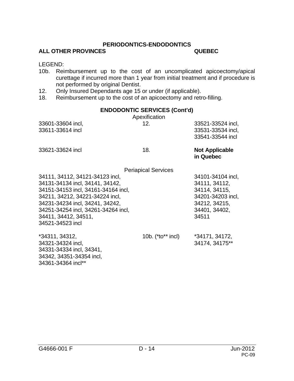#### **PERIODONTICS-ENDODONTICS**

#### **ALL OTHER PROVINCES QUEBEC**

LEGEND:

- 10b. Reimbursement up to the cost of an uncomplicated apicoectomy/apical curettage if incurred more than 1 year from initial treatment and if procedure is not performed by original Dentist.
- 12. Only Insured Dependants age 15 or under (if applicable).
- 18. Reimbursement up to the cost of an apicoectomy and retro-filling.

#### **ENDODONTIC SERVICES (Cont'd)**

| Apexification                       |                                    |
|-------------------------------------|------------------------------------|
| 12.                                 | 33521-33524 incl,                  |
|                                     | 33531-33534 incl,                  |
|                                     | 33541-33544 incl                   |
| 18.                                 | <b>Not Applicable</b><br>in Quebec |
| <b>Periapical Services</b>          |                                    |
| 34111, 34112, 34121-34123 incl,     | 34101-34104 incl,                  |
| 34131-34134 incl, 34141, 34142,     |                                    |
| 34151-34153 incl, 34161-34164 incl, |                                    |
| 34211, 34212, 34221-34224 incl,     |                                    |
| 34231-34234 incl, 34241, 34242,     |                                    |
| 34251-34254 incl, 34261-34264 incl, | 34401, 34402,                      |
|                                     | 34511                              |
|                                     |                                    |
| 10b. $(*to**$ incl)                 | *34171, 34172,                     |
|                                     | 34174, 34175**                     |
|                                     |                                    |
|                                     |                                    |
|                                     |                                    |

34361-34364 incl\*\*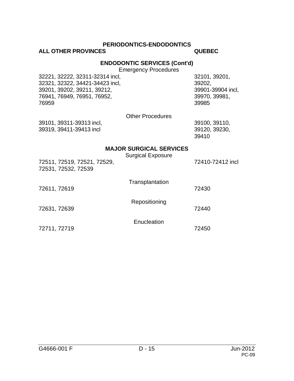#### **PERIODONTICS-ENDODONTICS**

### **ALL OTHER PROVINCES QUEBEC**

#### **ENDODONTIC SERVICES (Cont'd)**

Emergency Procedures

| 32221, 32222, 32311-32314 incl, | 32101, |
|---------------------------------|--------|
| 32321, 32322, 34421-34423 incl, | 39202. |
| 39201, 39202, 39211, 39212,     | 39901- |
| 76941, 76949, 76951, 76952,     | 39970. |
| 76959                           | 39985  |
|                                 |        |

32221, 32222, 32311-32314 incl, 32101, 39201, 39901-39904 incl, 76941, 76949, 76951, 76952, 39970, 39981,

|  | <b>Other Procedures</b> |
|--|-------------------------|
|--|-------------------------|

39101, 39311-39313 incl, 39100, 39110, 39319, 39411-39413 incl

39410

#### **MAJOR SURGICAL SERVICES**

| 72511, 72519, 72521, 72529,<br>72531, 72532, 72539 | <b>Surgical Exposure</b> | 72410-72412 incl |
|----------------------------------------------------|--------------------------|------------------|
| 72611, 72619                                       | Transplantation          | 72430            |
| 72631, 72639                                       | Repositioning            | 72440            |
| 72711, 72719                                       | Enucleation              | 72450            |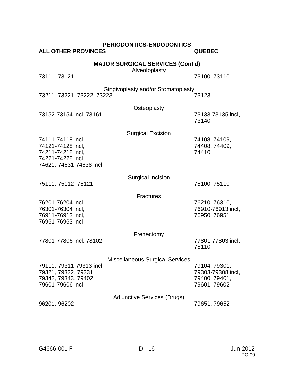| <b>ALL OTHER PROVINCES</b>                                                                   | <b>PERIODONTICS-ENDODONTICS</b>        | <b>QUEBEC</b>                                                       |  |
|----------------------------------------------------------------------------------------------|----------------------------------------|---------------------------------------------------------------------|--|
| <b>MAJOR SURGICAL SERVICES (Cont'd)</b><br>Alveoloplasty                                     |                                        |                                                                     |  |
| 73111, 73121                                                                                 |                                        | 73100, 73110                                                        |  |
| 73211, 73221, 73222, 73223                                                                   | Gingivoplasty and/or Stomatoplasty     | 73123                                                               |  |
| 73152-73154 incl, 73161                                                                      | Osteoplasty                            | 73133-73135 incl,<br>73140                                          |  |
| 74111-74118 incl,                                                                            | <b>Surgical Excision</b>               | 74108, 74109,                                                       |  |
| 74121-74128 incl,<br>74211-74218 incl,<br>74221-74228 incl,<br>74621, 74631-74638 incl       |                                        | 74408, 74409,<br>74410                                              |  |
| 75111, 75112, 75121                                                                          | Surgical Incision                      | 75100, 75110                                                        |  |
|                                                                                              | <b>Fractures</b>                       |                                                                     |  |
| 76201-76204 incl,<br>76301-76304 incl,<br>76911-76913 incl,<br>76961-76963 incl              |                                        | 76210, 76310,<br>76910-76913 incl,<br>76950, 76951                  |  |
|                                                                                              | Frenectomy                             |                                                                     |  |
| 77801-77806 incl, 78102                                                                      |                                        | 77801-77803 incl,<br>78110                                          |  |
|                                                                                              | <b>Miscellaneous Surgical Services</b> |                                                                     |  |
| 79111, 79311-79313 incl,<br>79321, 79322, 79331,<br>79342, 79343, 79402,<br>79601-79606 incl |                                        | 79104, 79301,<br>79303-79308 incl,<br>79400, 79401,<br>79601, 79602 |  |
| 96201, 96202                                                                                 | <b>Adjunctive Services (Drugs)</b>     | 79651, 79652                                                        |  |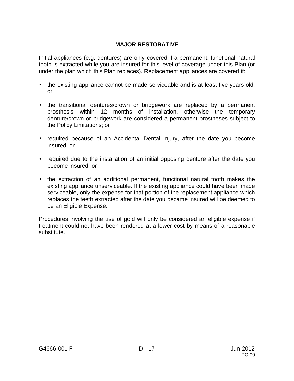Initial appliances (e.g. dentures) are only covered if a permanent, functional natural tooth is extracted while you are insured for this level of coverage under this Plan (or under the plan which this Plan replaces). Replacement appliances are covered if:

- the existing appliance cannot be made serviceable and is at least five years old; or
- the transitional dentures/crown or bridgework are replaced by a permanent prosthesis within 12 months of installation, otherwise the temporary denture/crown or bridgework are considered a permanent prostheses subject to the Policy Limitations; or
- required because of an Accidental Dental Injury, after the date you become insured; or
- required due to the installation of an initial opposing denture after the date you become insured; or
- the extraction of an additional permanent, functional natural tooth makes the existing appliance unserviceable. If the existing appliance could have been made serviceable, only the expense for that portion of the replacement appliance which replaces the teeth extracted after the date you became insured will be deemed to be an Eligible Expense.

Procedures involving the use of gold will only be considered an eligible expense if treatment could not have been rendered at a lower cost by means of a reasonable substitute.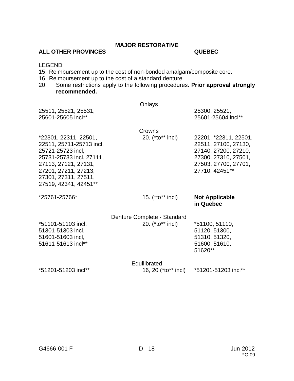#### **ALL OTHER PROVINCES QUEBEC**

LEGEND:

- 15. Reimbursement up to the cost of non-bonded amalgam/composite core.
- 16. Reimbursement up to the cost of a standard denture<br>20. Some restrictions apply to the following procedure
- Some restrictions apply to the following procedures. Prior approval strongly **recommended.**

| 25511, 25521, 25531,<br>25601-25605 incl**                                                                                                                                                          | Onlays                                          | 25300, 25521,<br>25601-25604 incl**                                                                                                     |
|-----------------------------------------------------------------------------------------------------------------------------------------------------------------------------------------------------|-------------------------------------------------|-----------------------------------------------------------------------------------------------------------------------------------------|
| *22301, 22311, 22501,<br>22511, 25711-25713 incl,<br>25721-25723 incl,<br>25731-25733 incl, 27111,<br>27113, 27121, 27131,<br>27201, 27211, 27213,<br>27301, 27311, 27511,<br>27519, 42341, 42451** | Crowns<br>20. (*to** incl)                      | 22201, *22311, 22501,<br>22511, 27100, 27130,<br>27140, 27200, 27210,<br>27300, 27310, 27501,<br>27503, 27700, 27701,<br>27710, 42451** |
| *25761-25766*                                                                                                                                                                                       | 15. $(*to**$ incl)                              | <b>Not Applicable</b><br>in Quebec                                                                                                      |
| *51101-51103 incl,<br>51301-51303 incl,<br>51601-51603 incl,<br>51611-51613 incl**                                                                                                                  | Denture Complete - Standard<br>20. (*to** incl) | *51100, 51110,<br>51120, 51300,<br>51310, 51320,<br>51600, 51610,<br>51620**                                                            |
| *51201-51203 incl**                                                                                                                                                                                 | Equilibrated<br>16, 20 (*to** incl)             | *51201-51203 incl**                                                                                                                     |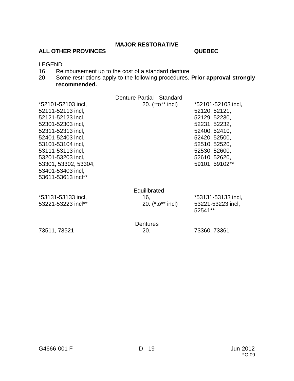#### ALL OTHER PROVINCES **ALL OTHER PROVINCES**

LEGEND:<br>16. Reir

- 16. Reimbursement up to the cost of a standard denture<br>20. Some restrictions apply to the following procedures.
- Some restrictions apply to the following procedures. Prior approval strongly **recommended.**

|                                                                                                                                                                                                                                                               | Denture Partial - Standard              |                                                                                                                                                                              |
|---------------------------------------------------------------------------------------------------------------------------------------------------------------------------------------------------------------------------------------------------------------|-----------------------------------------|------------------------------------------------------------------------------------------------------------------------------------------------------------------------------|
| *52101-52103 incl,<br>52111-52113 incl,<br>52121-52123 incl,<br>52301-52303 incl,<br>52311-52313 incl,<br>52401-52403 incl,<br>53101-53104 incl.<br>53111-53113 incl,<br>53201-53203 incl,<br>53301, 53302, 53304,<br>53401-53403 incl,<br>53611-53613 incl** | 20. (*to** incl)                        | *52101-52103 incl,<br>52120, 52121,<br>52129, 52230,<br>52231, 52232,<br>52400, 52410,<br>52420, 52500,<br>52510, 52520,<br>52530, 52600,<br>52610, 52620,<br>59101, 59102** |
| *53131-53133 incl,<br>53221-53223 incl**                                                                                                                                                                                                                      | Equilibrated<br>16,<br>20. (*to** incl) | *53131-53133 incl,<br>53221-53223 incl,<br>52541**                                                                                                                           |
| 73511, 73521                                                                                                                                                                                                                                                  | Dentures<br>20.                         | 73360, 73361                                                                                                                                                                 |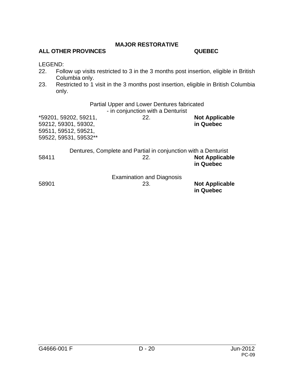# **ALL OTHER PROVINCES QUEBEC**

#### LEGEND:

- 22. Follow up visits restricted to 3 in the 3 months post insertion, eligible in British Columbia only.
- 23. Restricted to 1 visit in the 3 months post insertion, eligible in British Columbia only.

|       |                                                                                                | Partial Upper and Lower Dentures fabricated<br>- in conjunction with a Denturist |                                    |
|-------|------------------------------------------------------------------------------------------------|----------------------------------------------------------------------------------|------------------------------------|
|       | *59201, 59202, 59211,<br>59212, 59301, 59302,<br>59511, 59512, 59521,<br>59522, 59531, 59532** | 22.                                                                              | <b>Not Applicable</b><br>in Quebec |
| 58411 |                                                                                                | Dentures, Complete and Partial in conjunction with a Denturist<br>22.            | <b>Not Applicable</b><br>in Quebec |
| 58901 |                                                                                                | <b>Examination and Diagnosis</b><br>23.                                          | <b>Not Applicable</b><br>in Quebec |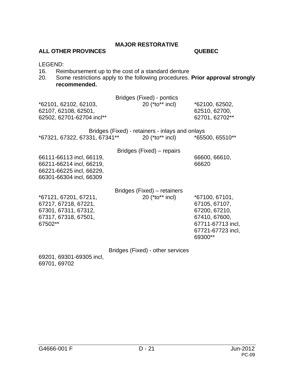#### **ALL OTHER PROVINCES QUEBEC**

LEGEND:

- 16. Reimbursement up to the cost of a standard denture<br>20. Some restrictions apply to the following procedures.
- Some restrictions apply to the following procedures. Prior approval strongly **recommended.**

| *62101, 62102, 62103,<br>62107, 62108, 62501,<br>62502, 62701-62704 incl**                                  | Bridges (Fixed) - pontics<br>20 (*to** incl)                                       | *62100, 62502,<br>62510, 62700,<br>62701, 62702**                                                                      |
|-------------------------------------------------------------------------------------------------------------|------------------------------------------------------------------------------------|------------------------------------------------------------------------------------------------------------------------|
| *67321, 67322, 67331, 67341**                                                                               | Bridges (Fixed) - retainers - inlays and onlays<br>20 (*to** incl) *65500, 65510** |                                                                                                                        |
| 66111-66113 incl, 66119,<br>66211-66214 incl, 66219,<br>66221-66225 incl, 66229,<br>66301-66304 incl, 66309 | Bridges (Fixed) – repairs                                                          | 66600, 66610,<br>66620                                                                                                 |
| *67121, 67201, 67211,<br>67217, 67218, 67221,<br>67301, 67311, 67312,<br>67317, 67318, 67501,<br>67502**    | Bridges (Fixed) – retainers<br>20 (*to** incl)                                     | *67100, 67101,<br>67105, 67107,<br>67200, 67210,<br>67410, 67600,<br>67711-67713 incl,<br>67721-67723 incl,<br>69300** |
|                                                                                                             | Bridges (Fixed) - other services                                                   |                                                                                                                        |

69201, 69301-69305 incl, 69701, 69702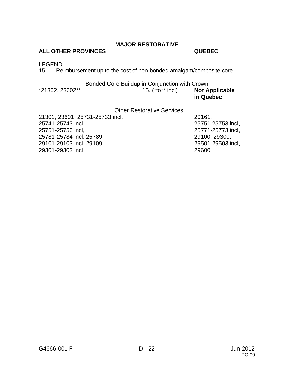## **MAJOR RESTORATIVE**

## **ALL OTHER PROVINCES QUEBEC**

# LEGEND:<br>15. Reir

Reimbursement up to the cost of non-bonded amalgam/composite core.

## Bonded Core Buildup in Conjunction with Crown

| *21302, 23602** | 15. (*to** incl) | <b>Not Applicable</b> |
|-----------------|------------------|-----------------------|
|                 |                  | in Quebec             |

### Other Restorative Services

| 21301, 23601, 25731-25733 incl. | 20161.            |
|---------------------------------|-------------------|
| 25741-25743 incl,               | 25751-25753 incl. |
| 25751-25756 incl,               | 25771-25773 incl. |
| 25781-25784 incl, 25789,        | 29100, 29300,     |
| 29101-29103 incl, 29109,        | 29501-29503 incl. |
| 29301-29303 incl                | 29600             |
|                                 |                   |